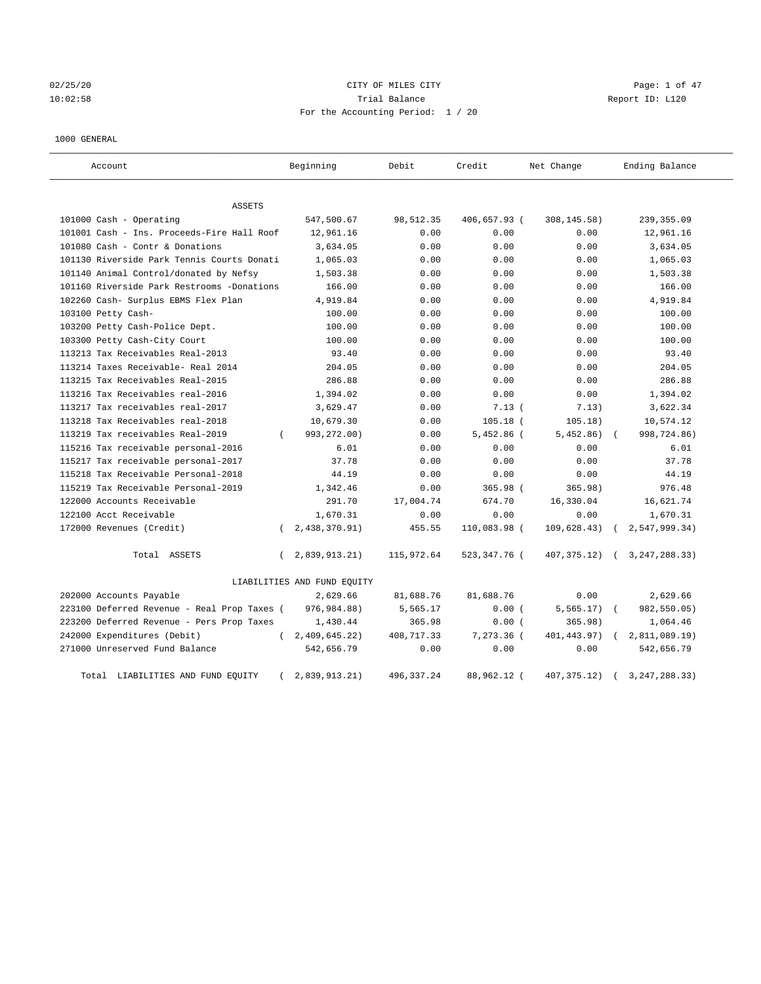02/25/20 **CITY OF MILES CITY CONSERVATION Page: 1 of 47** 10:02:58 Trial Balance Report ID: L120 For the Accounting Period: 1 / 20

#### 1000 GENERAL

| Account                                     | Beginning                   | Debit       | Credit       | Net Change   | Ending Balance                 |
|---------------------------------------------|-----------------------------|-------------|--------------|--------------|--------------------------------|
| ASSETS                                      |                             |             |              |              |                                |
| 101000 Cash - Operating                     | 547,500.67                  | 98,512.35   | 406,657.93 ( | 308, 145.58) | 239, 355.09                    |
| 101001 Cash - Ins. Proceeds-Fire Hall Roof  | 12,961.16                   | 0.00        | 0.00         | 0.00         | 12,961.16                      |
| 101080 Cash - Contr & Donations             | 3,634.05                    | 0.00        | 0.00         | 0.00         | 3,634.05                       |
| 101130 Riverside Park Tennis Courts Donati  | 1,065.03                    | 0.00        | 0.00         | 0.00         | 1,065.03                       |
| 101140 Animal Control/donated by Nefsy      | 1,503.38                    | 0.00        | 0.00         | 0.00         | 1,503.38                       |
| 101160 Riverside Park Restrooms -Donations  | 166.00                      | 0.00        | 0.00         | 0.00         | 166.00                         |
| 102260 Cash- Surplus EBMS Flex Plan         | 4,919.84                    | 0.00        | 0.00         | 0.00         | 4,919.84                       |
| 103100 Petty Cash-                          | 100.00                      | 0.00        | 0.00         | 0.00         | 100.00                         |
| 103200 Petty Cash-Police Dept.              | 100.00                      | 0.00        | 0.00         | 0.00         | 100.00                         |
| 103300 Petty Cash-City Court                | 100.00                      | 0.00        | 0.00         | 0.00         | 100.00                         |
| 113213 Tax Receivables Real-2013            | 93.40                       | 0.00        | 0.00         | 0.00         | 93.40                          |
| 113214 Taxes Receivable- Real 2014          | 204.05                      | 0.00        | 0.00         | 0.00         | 204.05                         |
| 113215 Tax Receivables Real-2015            | 286.88                      | 0.00        | 0.00         | 0.00         | 286.88                         |
| 113216 Tax Receivables real-2016            | 1,394.02                    | 0.00        | 0.00         | 0.00         | 1,394.02                       |
| 113217 Tax receivables real-2017            | 3,629.47                    | 0.00        | 7.13(        | 7.13)        | 3,622.34                       |
| 113218 Tax Receivables real-2018            | 10,679.30                   | 0.00        | $105.18$ (   | 105.18)      | 10,574.12                      |
| 113219 Tax receivables Real-2019            | 993,272.00)<br>$\left($     | 0.00        | $5,452.86$ ( | 5,452.86)    | 998,724.86)                    |
| 115216 Tax receivable personal-2016         | 6.01                        | 0.00        | 0.00         | 0.00         | 6.01                           |
| 115217 Tax receivable personal-2017         | 37.78                       | 0.00        | 0.00         | 0.00         | 37.78                          |
| 115218 Tax Receivable Personal-2018         | 44.19                       | 0.00        | 0.00         | 0.00         | 44.19                          |
| 115219 Tax Receivable Personal-2019         | 1,342.46                    | 0.00        | 365.98 (     | 365.98)      | 976.48                         |
| 122000 Accounts Receivable                  | 291.70                      | 17,004.74   | 674.70       | 16,330.04    | 16,621.74                      |
| 122100 Acct Receivable                      | 1,670.31                    | 0.00        | 0.00         | 0.00         | 1,670.31                       |
| 172000 Revenues (Credit)                    | 2,438,370.91)<br>$\left($   | 455.55      | 110,083.98 ( | 109, 628.43) | 2, 547, 999.34)                |
| Total ASSETS                                | 2,839,913.21)<br>$\left($   | 115,972.64  | 523,347.76 ( |              | 407, 375.12) ( 3, 247, 288.33) |
|                                             | LIABILITIES AND FUND EQUITY |             |              |              |                                |
| 202000 Accounts Payable                     | 2,629.66                    | 81,688.76   | 81,688.76    | 0.00         | 2,629.66                       |
| 223100 Deferred Revenue - Real Prop Taxes ( | 976,984.88)                 | 5,565.17    | 0.00(        | 5, 565.17)   | 982,550.05)                    |
| 223200 Deferred Revenue - Pers Prop Taxes   | 1,430.44                    | 365.98      | 0.00(        | 365.98)      | 1,064.46                       |
| 242000 Expenditures (Debit)                 | 2,409,645.22<br>$\left($    | 408,717.33  | 7,273.36 (   | 401, 443.97) | 2,811,089.19)                  |
| 271000 Unreserved Fund Balance              | 542,656.79                  | 0.00        | 0.00         | 0.00         | 542,656.79                     |
| Total LIABILITIES AND FUND EQUITY           | 2,839,913.21)               | 496, 337.24 | 88,962.12 (  | 407, 375.12) | 3, 247, 288. 33)               |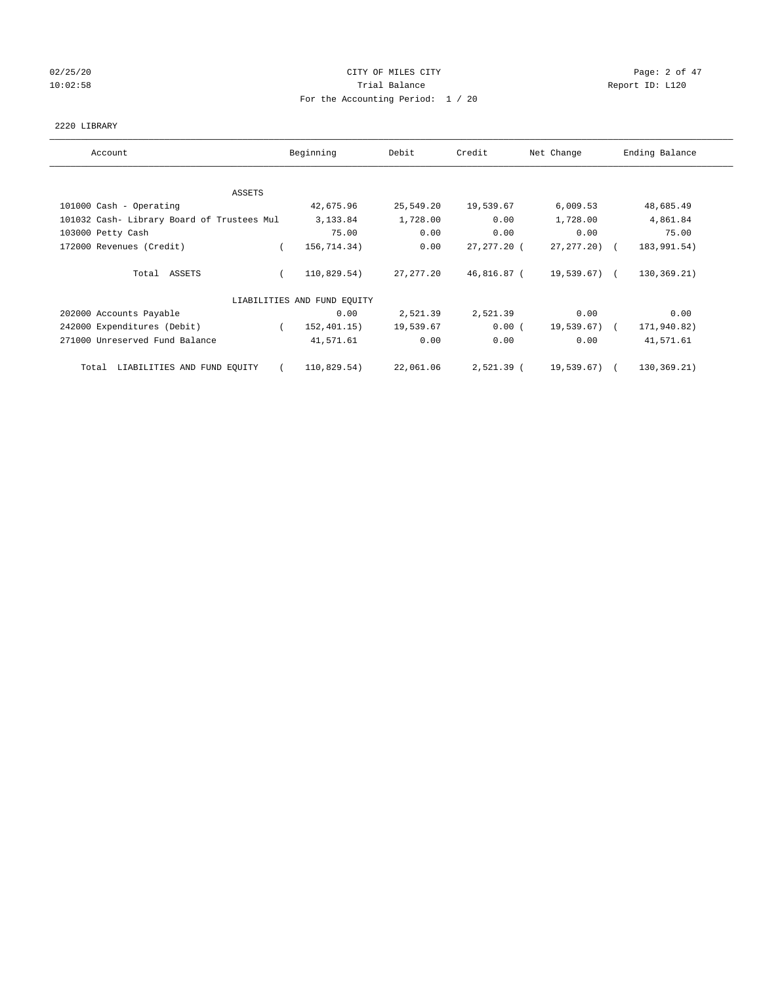# 02/25/20 **CITY OF MILES CITY CONSERVATION Page: 2 of 47** 10:02:58 **Trial Balance Trial Balance Report ID:** L120 For the Accounting Period: 1 / 20

## 2220 LIBRARY

| Account                                    | Beginning                   | Debit      | Credit      | Net Change      | Ending Balance |
|--------------------------------------------|-----------------------------|------------|-------------|-----------------|----------------|
| ASSETS                                     |                             |            |             |                 |                |
| 101000 Cash - Operating                    | 42,675.96                   | 25,549.20  | 19,539.67   | 6,009.53        | 48,685.49      |
| 101032 Cash- Library Board of Trustees Mul | 3,133.84                    | 1,728.00   | 0.00        | 1,728.00        | 4,861.84       |
| 103000 Petty Cash                          | 75.00                       | 0.00       | 0.00        | 0.00            | 75.00          |
| 172000 Revenues (Credit)                   | 156,714.34)<br>$\left($     | 0.00       | 27,277.20 ( | $27, 277, 20$ ( | 183,991.54)    |
| Total ASSETS                               | 110,829.54)                 | 27, 277.20 | 46,816.87 ( | 19,539.67) (    | 130, 369.21)   |
|                                            | LIABILITIES AND FUND EQUITY |            |             |                 |                |
| 202000 Accounts Payable                    | 0.00                        | 2,521.39   | 2,521.39    | 0.00            | 0.00           |
| 242000 Expenditures (Debit)                | 152,401.15)                 | 19,539.67  | 0.00(       | 19,539.67) (    | 171,940.82)    |
| 271000 Unreserved Fund Balance             | 41,571.61                   | 0.00       | 0.00        | 0.00            | 41,571.61      |
| LIABILITIES AND FUND EQUITY<br>Total       | 110,829.54)<br>$\sqrt{2}$   | 22,061.06  | 2,521.39 (  | 19,539.67) (    | 130,369.21)    |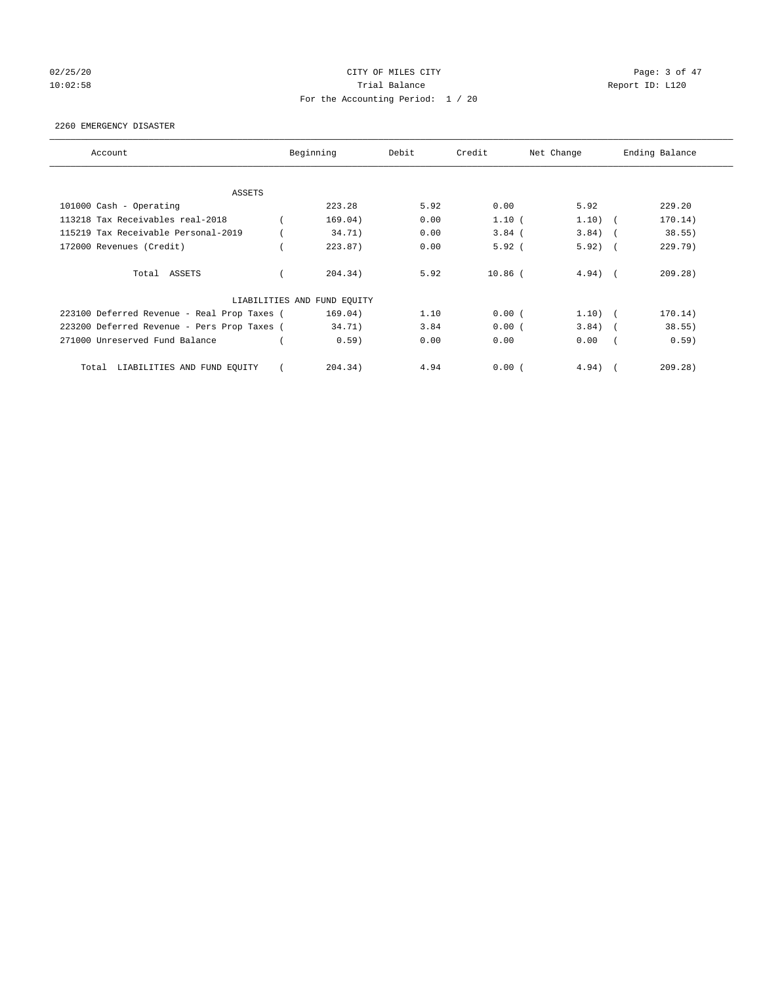# 02/25/20 **CITY OF MILES CITY CONSERVATION Page: 3 of 47** 10:02:58 **Trial Balance Trial Balance Report ID:** L120 For the Accounting Period: 1 / 20

#### 2260 EMERGENCY DISASTER

| Account                                     | Beginning                   | Debit | Credit    | Net Change |            | Ending Balance |
|---------------------------------------------|-----------------------------|-------|-----------|------------|------------|----------------|
| <b>ASSETS</b>                               |                             |       |           |            |            |                |
| 101000 Cash - Operating                     | 223.28                      | 5.92  | 0.00      | 5.92       |            | 229.20         |
| 113218 Tax Receivables real-2018            | 169.04)                     | 0.00  | 1.10(     | $1.10)$ (  |            | 170.14)        |
| 115219 Tax Receivable Personal-2019         | 34.71)                      | 0.00  | $3.84$ (  | 3.84)      |            | 38.55)         |
| 172000 Revenues (Credit)                    | 223.87)                     | 0.00  | 5.92(     | 5.92)      | $\sqrt{2}$ | 229.79         |
| Total ASSETS                                | 204.34)                     | 5.92  | $10.86$ ( | $4.94)$ (  |            | 209.28)        |
|                                             | LIABILITIES AND FUND EQUITY |       |           |            |            |                |
| 223100 Deferred Revenue - Real Prop Taxes ( | 169.04)                     | 1.10  | 0.00(     | $1.10)$ (  |            | 170.14)        |
| 223200 Deferred Revenue - Pers Prop Taxes ( | 34.71)                      | 3.84  | 0.00(     | $3.84$ (   |            | 38.55)         |
| 271000 Unreserved Fund Balance              | 0.59)                       | 0.00  | 0.00      | 0.00       |            | 0.59)          |
| LIABILITIES AND FUND EQUITY<br>Total        | 204.34)                     | 4.94  | 0.00(     | 4.94)      |            | 209.28         |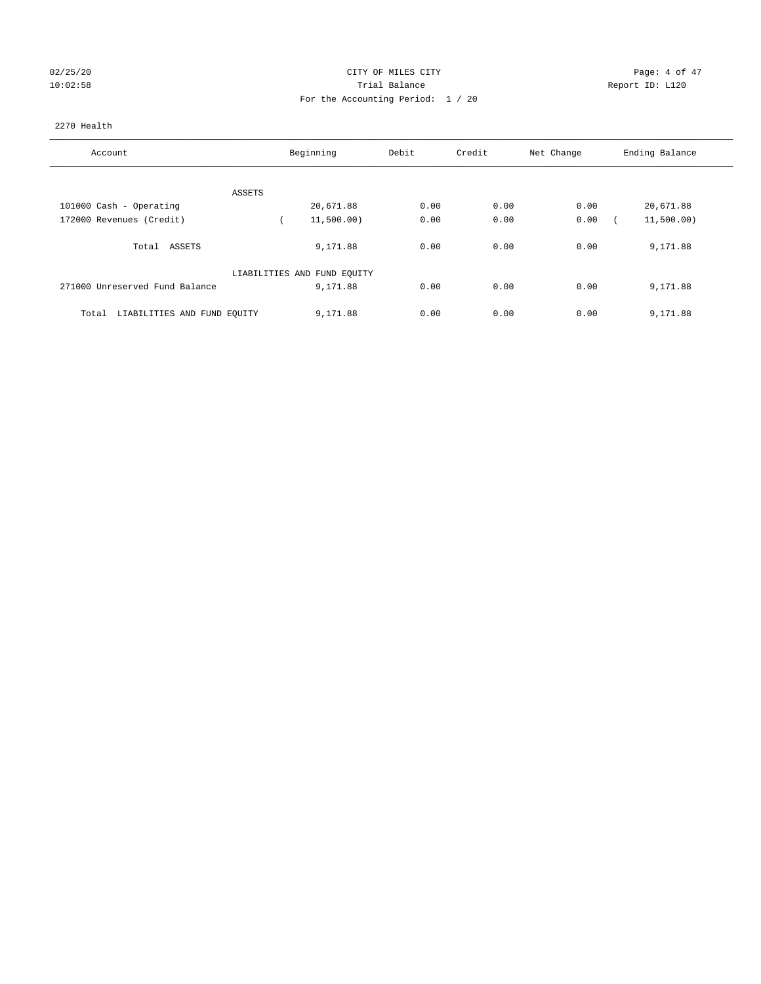# 02/25/20 **CITY OF MILES CITY CITY CITY CITY Page: 4 of 47** 10:02:58 Trial Balance Report ID: L120 For the Accounting Period: 1 / 20

## 2270 Health

| Account                              | Beginning                   | Debit | Credit | Net Change | Ending Balance |
|--------------------------------------|-----------------------------|-------|--------|------------|----------------|
|                                      |                             |       |        |            |                |
| ASSETS                               |                             |       |        |            |                |
| 101000 Cash - Operating              | 20,671.88                   | 0.00  | 0.00   | 0.00       | 20,671.88      |
| 172000 Revenues (Credit)             | 11,500.00)                  | 0.00  | 0.00   | 0.00       | 11,500.00)     |
| Total ASSETS                         | 9,171.88                    | 0.00  | 0.00   | 0.00       | 9,171.88       |
|                                      | LIABILITIES AND FUND EQUITY |       |        |            |                |
| 271000 Unreserved Fund Balance       | 9,171.88                    | 0.00  | 0.00   | 0.00       | 9,171.88       |
| LIABILITIES AND FUND EQUITY<br>Total | 9,171.88                    | 0.00  | 0.00   | 0.00       | 9,171.88       |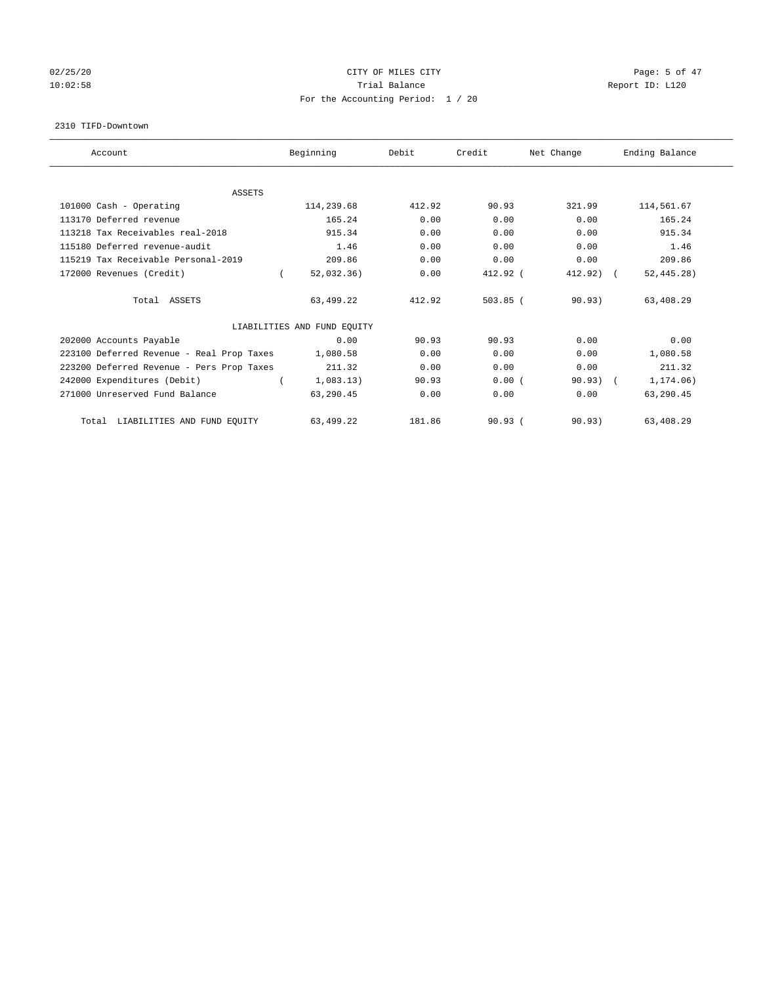# 02/25/20 **CITY OF MILES CITY CONSERVATION Page: 5 of 47** 10:02:58 **Trial Balance Trial Balance Report ID:** L120 For the Accounting Period: 1 / 20

#### 2310 TIFD-Downtown

| Account                                   | Beginning                   | Debit  | Credit     | Net Change | Ending Balance |
|-------------------------------------------|-----------------------------|--------|------------|------------|----------------|
|                                           |                             |        |            |            |                |
| <b>ASSETS</b>                             |                             | 412.92 | 90.93      | 321.99     | 114,561.67     |
| 101000 Cash - Operating                   | 114,239.68                  |        |            |            |                |
| 113170 Deferred revenue                   | 165.24                      | 0.00   | 0.00       | 0.00       | 165.24         |
| 113218 Tax Receivables real-2018          | 915.34                      | 0.00   | 0.00       | 0.00       | 915.34         |
| 115180 Deferred revenue-audit             | 1.46                        | 0.00   | 0.00       | 0.00       | 1.46           |
| 115219 Tax Receivable Personal-2019       | 209.86                      | 0.00   | 0.00       | 0.00       | 209.86         |
| 172000 Revenues (Credit)                  | 52,032.36)                  | 0.00   | 412.92 (   | 412.92) (  | 52, 445.28)    |
| Total ASSETS                              | 63,499.22                   | 412.92 | $503.85$ ( | 90.93)     | 63,408.29      |
|                                           | LIABILITIES AND FUND EQUITY |        |            |            |                |
| 202000 Accounts Payable                   | 0.00                        | 90.93  | 90.93      | 0.00       | 0.00           |
| 223100 Deferred Revenue - Real Prop Taxes | 1,080.58                    | 0.00   | 0.00       | 0.00       | 1,080.58       |
| 223200 Deferred Revenue - Pers Prop Taxes | 211.32                      | 0.00   | 0.00       | 0.00       | 211.32         |
| 242000 Expenditures (Debit)               | 1,083.13)                   | 90.93  | 0.00(      | $90.93)$ ( | 1,174.06)      |
| 271000 Unreserved Fund Balance            | 63,290.45                   | 0.00   | 0.00       | 0.00       | 63,290.45      |
| LIABILITIES AND FUND EQUITY<br>Total      | 63,499.22                   | 181.86 | 90.93(     | 90.93)     | 63,408.29      |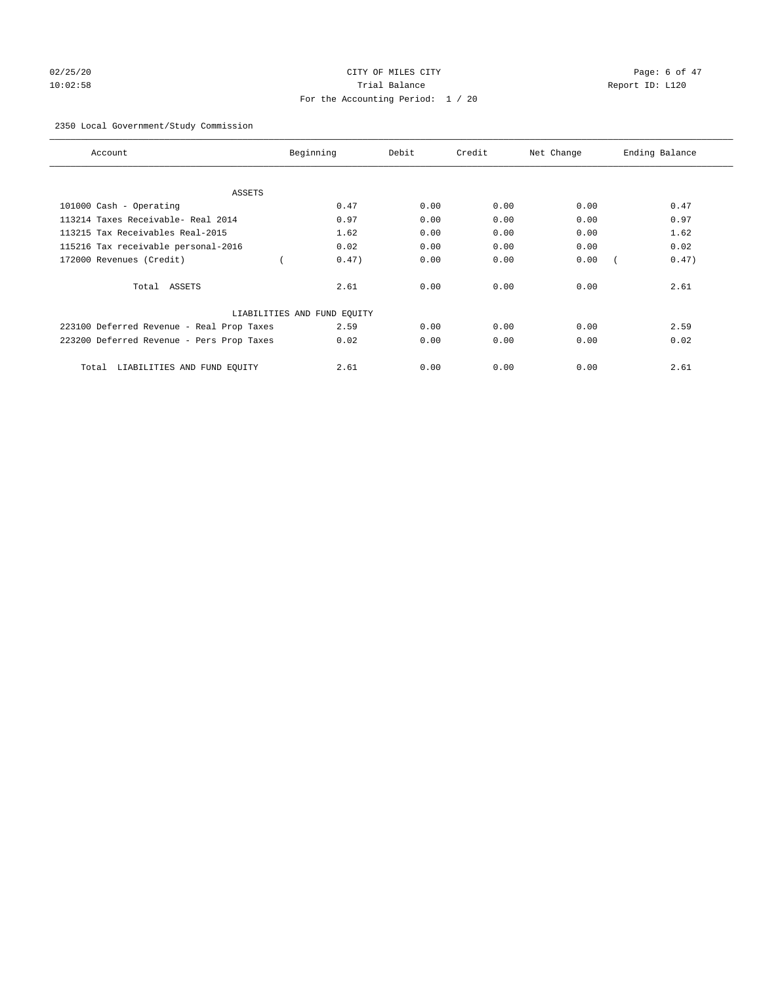# 02/25/20 **CITY OF MILES CITY CITY CITY CITY Page: 6 of 47** 10:02:58 Trial Balance Report ID: L120 For the Accounting Period: 1 / 20

# 2350 Local Government/Study Commission

| Account                                   | Beginning                   | Debit | Credit | Net Change | Ending Balance |
|-------------------------------------------|-----------------------------|-------|--------|------------|----------------|
| ASSETS                                    |                             |       |        |            |                |
| 101000 Cash - Operating                   | 0.47                        | 0.00  | 0.00   | 0.00       | 0.47           |
| 113214 Taxes Receivable- Real 2014        | 0.97                        | 0.00  | 0.00   | 0.00       | 0.97           |
| 113215 Tax Receivables Real-2015          | 1.62                        | 0.00  | 0.00   | 0.00       | 1.62           |
| 115216 Tax receivable personal-2016       | 0.02                        | 0.00  | 0.00   | 0.00       | 0.02           |
| 172000 Revenues (Credit)                  | 0.47)                       | 0.00  | 0.00   | 0.00       | 0.47)          |
| Total ASSETS                              | 2.61                        | 0.00  | 0.00   | 0.00       | 2.61           |
|                                           | LIABILITIES AND FUND EQUITY |       |        |            |                |
| 223100 Deferred Revenue - Real Prop Taxes | 2.59                        | 0.00  | 0.00   | 0.00       | 2.59           |
| 223200 Deferred Revenue - Pers Prop Taxes | 0.02                        | 0.00  | 0.00   | 0.00       | 0.02           |
| LIABILITIES AND FUND EQUITY<br>Total      | 2.61                        | 0.00  | 0.00   | 0.00       | 2.61           |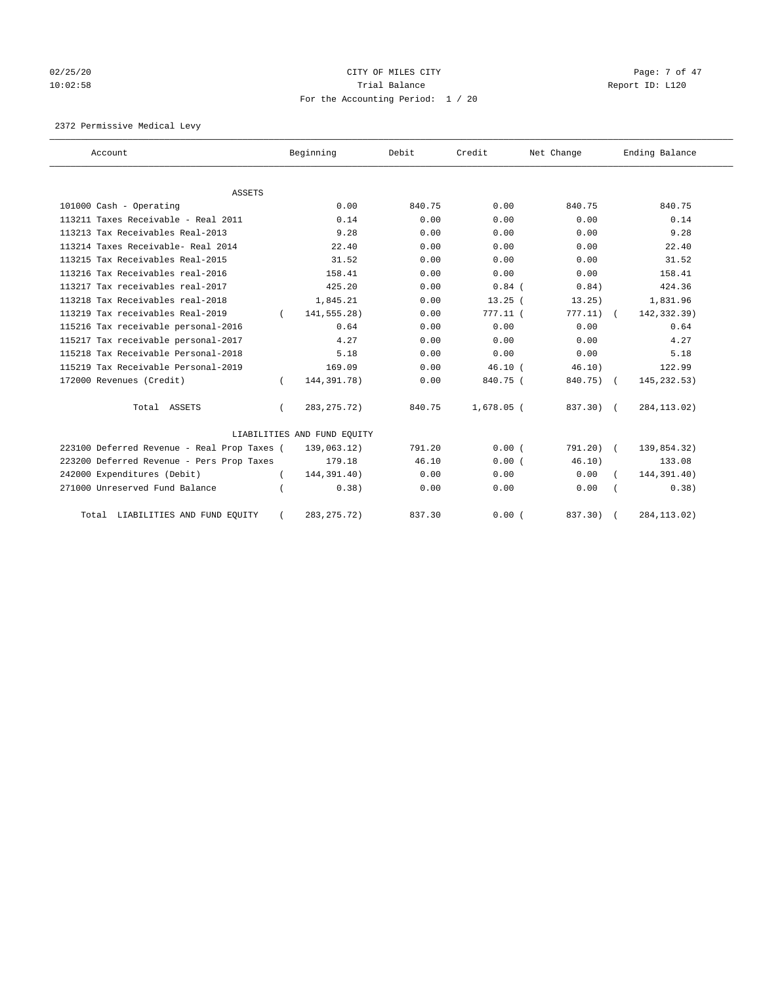# 02/25/20 Page: 7 of 47 10:02:58 **Trial Balance Trial Balance Report ID:** L120 For the Accounting Period: 1 / 20

2372 Permissive Medical Levy

| Account                                     |          | Beginning                   | Debit  | Credit       | Net Change | Ending Balance |
|---------------------------------------------|----------|-----------------------------|--------|--------------|------------|----------------|
| <b>ASSETS</b>                               |          |                             |        |              |            |                |
| 101000 Cash - Operating                     |          | 0.00                        | 840.75 | 0.00         | 840.75     | 840.75         |
| 113211 Taxes Receivable - Real 2011         |          | 0.14                        | 0.00   | 0.00         | 0.00       | 0.14           |
| 113213 Tax Receivables Real-2013            |          | 9.28                        | 0.00   | 0.00         | 0.00       | 9.28           |
| 113214 Taxes Receivable- Real 2014          |          | 22.40                       | 0.00   | 0.00         | 0.00       | 22.40          |
| 113215 Tax Receivables Real-2015            |          | 31.52                       | 0.00   | 0.00         | 0.00       | 31.52          |
| 113216 Tax Receivables real-2016            |          | 158.41                      | 0.00   | 0.00         | 0.00       | 158.41         |
| 113217 Tax receivables real-2017            |          | 425.20                      | 0.00   | $0.84$ (     | 0.84)      | 424.36         |
| 113218 Tax Receivables real-2018            |          | 1,845.21                    | 0.00   | 13.25(       | 13.25)     | 1,831.96       |
| 113219 Tax receivables Real-2019            |          | 141,555.28)                 | 0.00   | 777.11 (     | 777.11)    | 142,332.39)    |
| 115216 Tax receivable personal-2016         |          | 0.64                        | 0.00   | 0.00         | 0.00       | 0.64           |
| 115217 Tax receivable personal-2017         |          | 4.27                        | 0.00   | 0.00         | 0.00       | 4.27           |
| 115218 Tax Receivable Personal-2018         |          | 5.18                        | 0.00   | 0.00         | 0.00       | 5.18           |
| 115219 Tax Receivable Personal-2019         |          | 169.09                      | 0.00   | 46.10(       | 46.10)     | 122.99         |
| 172000 Revenues (Credit)                    |          | 144, 391. 78)               | 0.00   | 840.75 (     | 840.75) (  | 145, 232.53)   |
| Total ASSETS                                | $\left($ | 283, 275. 72)               | 840.75 | $1,678.05$ ( | 837.30) (  | 284, 113.02)   |
|                                             |          | LIABILITIES AND FUND EQUITY |        |              |            |                |
| 223100 Deferred Revenue - Real Prop Taxes ( |          | 139,063.12)                 | 791.20 | 0.00(        | 791.20) (  | 139,854.32)    |
| 223200 Deferred Revenue - Pers Prop Taxes   |          | 179.18                      | 46.10  | 0.00(        | 46.10)     | 133.08         |
| 242000 Expenditures (Debit)                 |          | 144,391.40)                 | 0.00   | 0.00         | 0.00       | 144,391.40)    |
| 271000 Unreserved Fund Balance              |          | 0.38)                       | 0.00   | 0.00         | 0.00       | 0.38)          |
| Total LIABILITIES AND FUND EQUITY           |          | 283, 275. 72)               | 837.30 | 0.00(        | 837.30)    | 284, 113.02)   |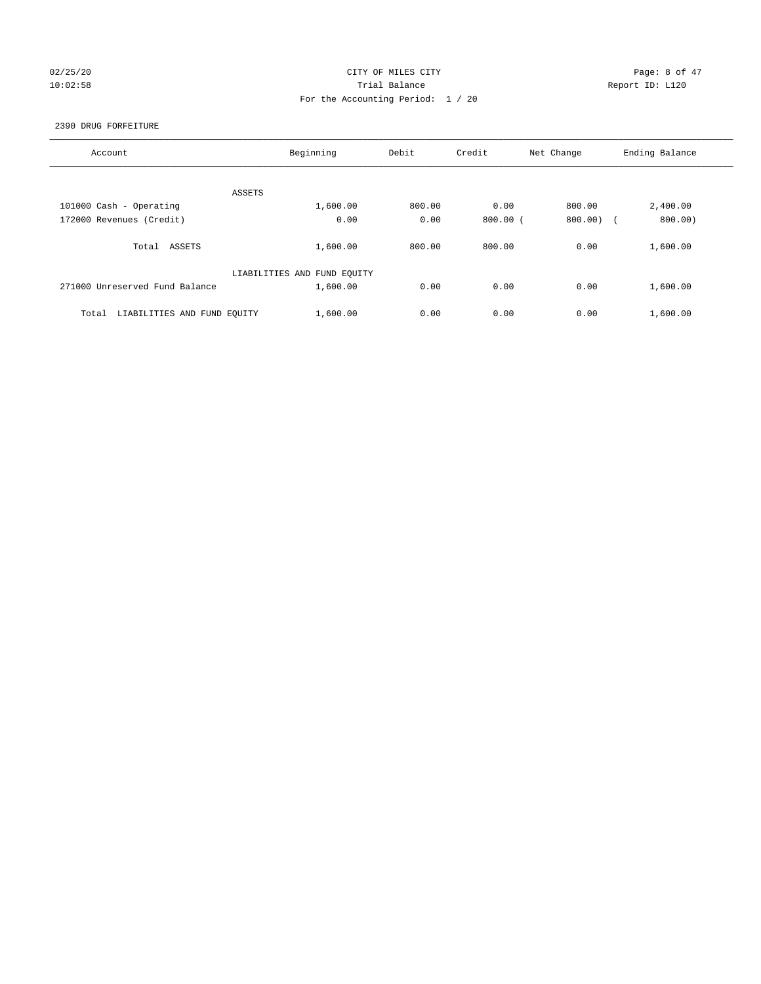# 02/25/20 **CITY OF MILES CITY CITY CITY CITY Page: 8 of 47** 10:02:58 Trial Balance Report ID: L120 For the Accounting Period: 1 / 20

#### 2390 DRUG FORFEITURE

| Account                              | Beginning                   | Debit  | Credit     | Net Change | Ending Balance |
|--------------------------------------|-----------------------------|--------|------------|------------|----------------|
|                                      |                             |        |            |            |                |
| ASSETS                               |                             |        |            |            |                |
| 101000 Cash - Operating              | 1,600.00                    | 800.00 | 0.00       | 800.00     | 2,400.00       |
| 172000 Revenues (Credit)             | 0.00                        | 0.00   | $800.00$ ( | 800.00     | 800.00)        |
|                                      |                             |        |            |            |                |
| Total ASSETS                         | 1,600.00                    | 800.00 | 800.00     | 0.00       | 1,600.00       |
|                                      |                             |        |            |            |                |
|                                      | LIABILITIES AND FUND EQUITY |        |            |            |                |
| 271000 Unreserved Fund Balance       | 1,600.00                    | 0.00   | 0.00       | 0.00       | 1,600.00       |
|                                      |                             |        |            |            |                |
| LIABILITIES AND FUND EQUITY<br>Total | 1,600.00                    | 0.00   | 0.00       | 0.00       | 1,600.00       |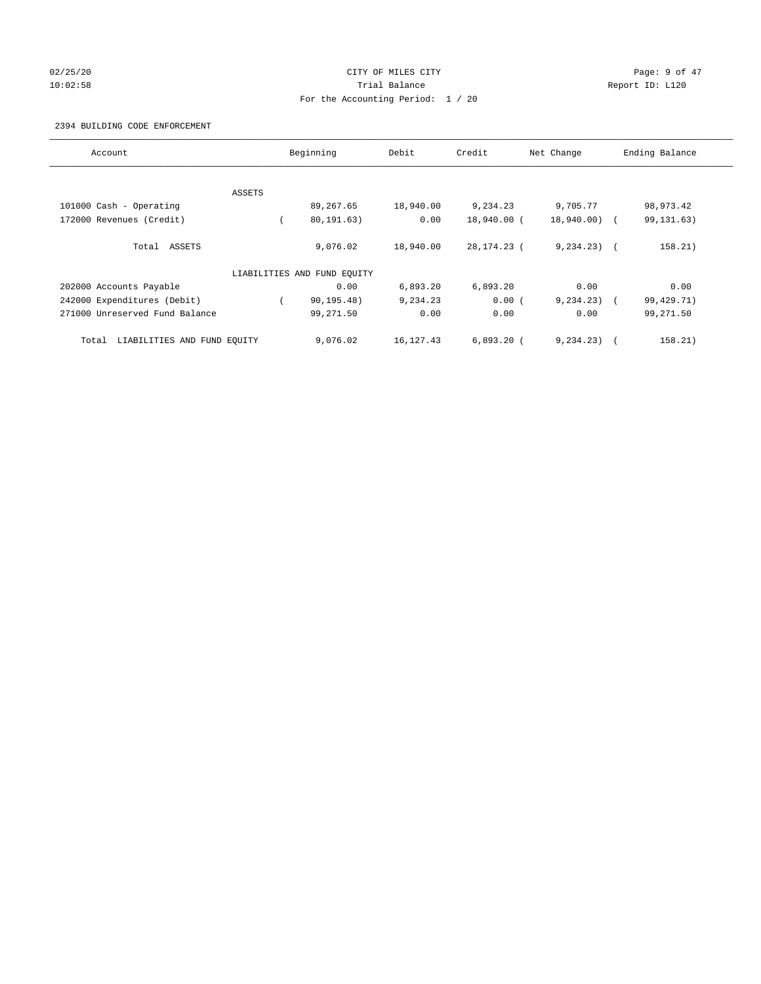# 02/25/20 **CITY OF MILES CITY CONSERVATION Page: 9 of 47** 10:02:58 **Trial Balance Trial Balance Report ID:** L120 For the Accounting Period: 1 / 20

#### 2394 BUILDING CODE ENFORCEMENT

| Account                              |        | Beginning                   | Debit       | Credit       | Net Change     | Ending Balance |
|--------------------------------------|--------|-----------------------------|-------------|--------------|----------------|----------------|
|                                      |        |                             |             |              |                |                |
|                                      | ASSETS |                             |             |              |                |                |
| 101000 Cash - Operating              |        | 89,267.65                   | 18,940.00   | 9,234.23     | 9,705.77       | 98,973.42      |
| 172000 Revenues (Credit)             |        | 80, 191, 63)                | 0.00        | 18,940.00 (  | 18,940.00) (   | 99, 131. 63)   |
| Total ASSETS                         |        | 9,076.02                    | 18,940.00   | 28,174.23 (  | $9, 234, 23$ ( | 158.21)        |
|                                      |        | LIABILITIES AND FUND EQUITY |             |              |                |                |
| 202000 Accounts Payable              |        | 0.00                        | 6,893.20    | 6,893.20     | 0.00           | 0.00           |
| 242000 Expenditures (Debit)          |        | 90, 195.48)                 | 9,234.23    | 0.00(        | $9, 234.23$ (  | 99,429.71)     |
| 271000 Unreserved Fund Balance       |        | 99,271.50                   | 0.00        | 0.00         | 0.00           | 99,271.50      |
| LIABILITIES AND FUND EQUITY<br>Total |        | 9,076.02                    | 16, 127. 43 | $6,893.20$ ( | 9, 234.23)     | 158.21)        |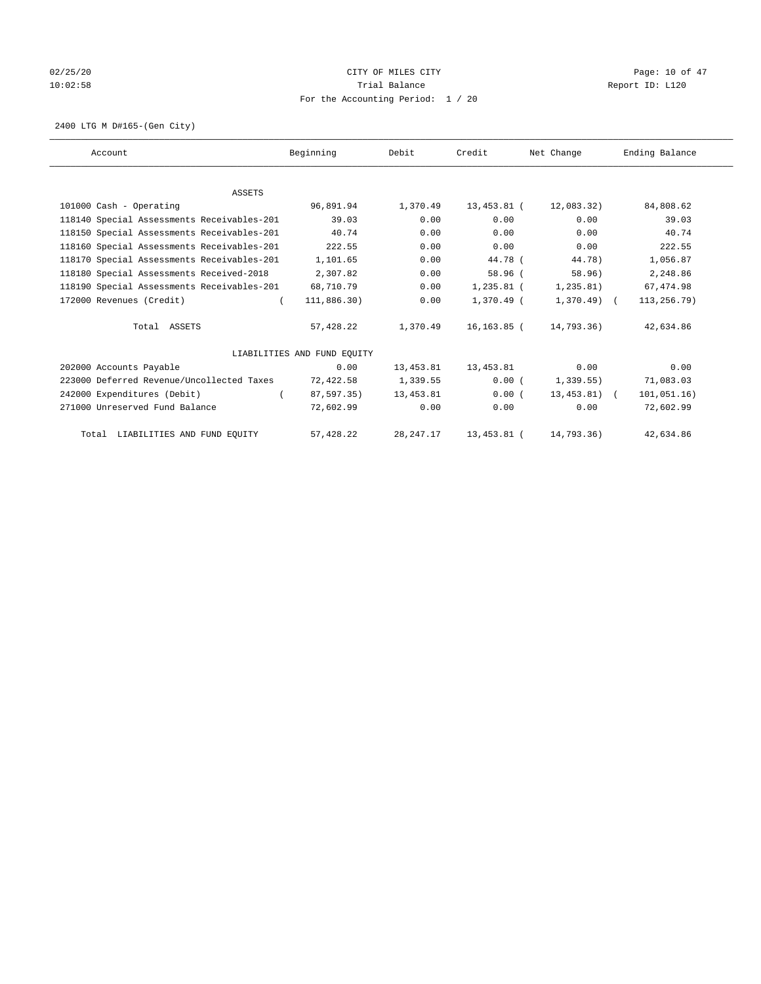# 02/25/20 Page: 10 of 47 10:02:58 **Trial Balance Trial Balance Report ID:** L120 For the Accounting Period: 1 / 20

2400 LTG M D#165-(Gen City)

| Account                                    | Beginning                   | Debit       | Credit      | Net Change    | Ending Balance |
|--------------------------------------------|-----------------------------|-------------|-------------|---------------|----------------|
|                                            |                             |             |             |               |                |
| <b>ASSETS</b>                              |                             |             |             |               |                |
| 101000 Cash - Operating                    | 96,891.94                   | 1,370.49    | 13,453.81 ( | 12,083.32)    | 84,808.62      |
| 118140 Special Assessments Receivables-201 | 39.03                       | 0.00        | 0.00        | 0.00          | 39.03          |
| 118150 Special Assessments Receivables-201 | 40.74                       | 0.00        | 0.00        | 0.00          | 40.74          |
| 118160 Special Assessments Receivables-201 | 222.55                      | 0.00        | 0.00        | 0.00          | 222.55         |
| 118170 Special Assessments Receivables-201 | 1,101.65                    | 0.00        | 44.78 (     | 44.78)        | 1,056.87       |
| 118180 Special Assessments Received-2018   | 2,307.82                    | 0.00        | 58.96(      | 58.96)        | 2,248.86       |
| 118190 Special Assessments Receivables-201 | 68,710.79                   | 0.00        | 1,235.81 (  | 1, 235.81)    | 67, 474.98     |
| 172000 Revenues (Credit)                   | 111,886.30)                 | 0.00        | 1,370.49 (  | $1,370.49$ (  | 113,256.79)    |
| Total ASSETS                               | 57,428.22                   | 1,370.49    | 16,163.85 ( | 14,793.36)    | 42,634.86      |
|                                            | LIABILITIES AND FUND EQUITY |             |             |               |                |
| 202000 Accounts Payable                    | 0.00                        | 13,453.81   | 13,453.81   | 0.00          | 0.00           |
| 223000 Deferred Revenue/Uncollected Taxes  | 72,422.58                   | 1,339.55    | 0.00(       | 1,339.55)     | 71,083.03      |
| 242000 Expenditures (Debit)                | 87,597.35)                  | 13,453.81   | 0.00(       | $13,453.81$ ( | 101,051.16)    |
| 271000 Unreserved Fund Balance             | 72,602.99                   | 0.00        | 0.00        | 0.00          | 72,602.99      |
| Total LIABILITIES AND FUND EQUITY          | 57,428.22                   | 28, 247. 17 | 13,453.81 ( | 14,793.36)    | 42,634.86      |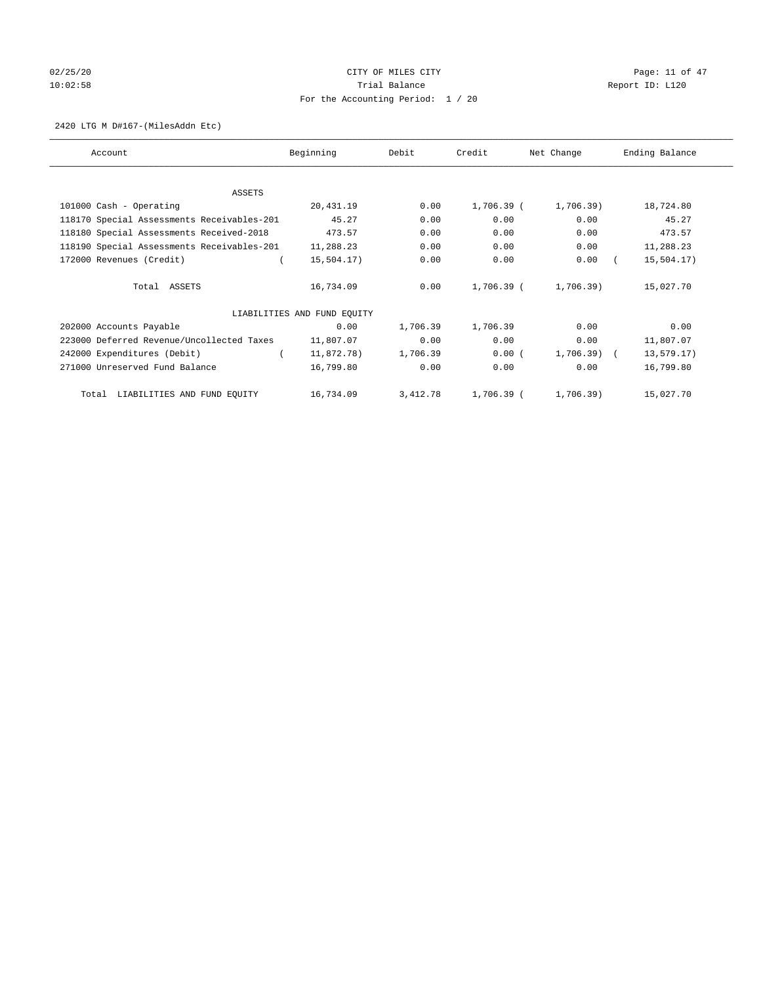# $O2/25/20$  Page: 11 of 47 10:02:58 **Trial Balance Trial Balance Report ID:** L120 For the Accounting Period: 1 / 20

#### 2420 LTG M D#167-(MilesAddn Etc)

| Account                                    | Beginning                   | Debit    | Credit     | Net Change   | Ending Balance |
|--------------------------------------------|-----------------------------|----------|------------|--------------|----------------|
|                                            |                             |          |            |              |                |
| ASSETS                                     |                             |          |            |              |                |
| 101000 Cash - Operating                    | 20,431.19                   | 0.00     | 1,706.39 ( | $1,706.39$ ) | 18,724.80      |
| 118170 Special Assessments Receivables-201 | 45.27                       | 0.00     | 0.00       | 0.00         | 45.27          |
| 118180 Special Assessments Received-2018   | 473.57                      | 0.00     | 0.00       | 0.00         | 473.57         |
| 118190 Special Assessments Receivables-201 | 11,288.23                   | 0.00     | 0.00       | 0.00         | 11,288.23      |
| 172000 Revenues (Credit)                   | 15,504.17)                  | 0.00     | 0.00       | 0.00         | 15,504.17)     |
| Total ASSETS                               | 16,734.09                   | 0.00     | 1,706.39 ( | 1,706.39)    | 15,027.70      |
|                                            | LIABILITIES AND FUND EQUITY |          |            |              |                |
| 202000 Accounts Payable                    | 0.00                        | 1,706.39 | 1,706.39   | 0.00         | 0.00           |
| 223000 Deferred Revenue/Uncollected Taxes  | 11,807.07                   | 0.00     | 0.00       | 0.00         | 11,807.07      |
| 242000 Expenditures (Debit)                | 11,872.78)                  | 1,706.39 | 0.00(      | $1,706.39$ ( | 13,579.17)     |
| 271000 Unreserved Fund Balance             | 16,799.80                   | 0.00     | 0.00       | 0.00         | 16,799.80      |
| Total LIABILITIES AND FUND EQUITY          | 16,734.09                   | 3,412.78 | 1,706.39 ( | 1,706.39)    | 15,027.70      |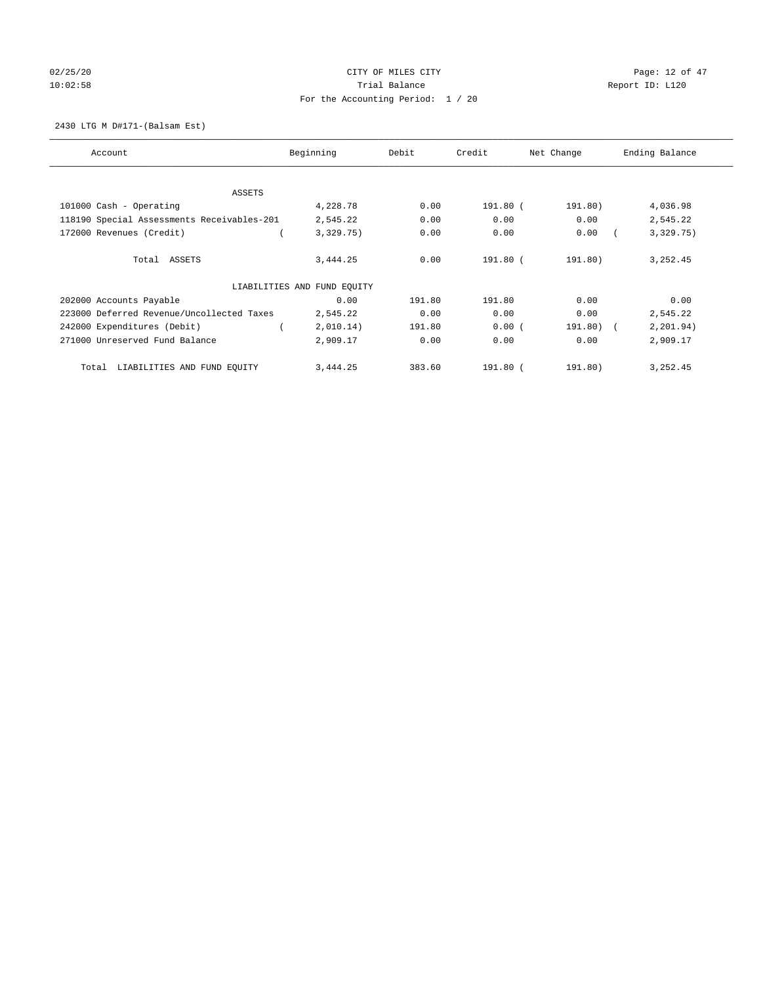# 02/25/20 Page: 12 of 47 10:02:58 **Trial Balance Trial Balance Report ID:** L120 For the Accounting Period: 1 / 20

## 2430 LTG M D#171-(Balsam Est)

| Account                                    | Beginning                   | Debit  | Credit   | Net Change | Ending Balance |
|--------------------------------------------|-----------------------------|--------|----------|------------|----------------|
| ASSETS                                     |                             |        |          |            |                |
| 101000 Cash - Operating                    | 4,228.78                    | 0.00   | 191.80 ( | 191.80)    | 4,036.98       |
| 118190 Special Assessments Receivables-201 | 2,545.22                    | 0.00   | 0.00     | 0.00       | 2,545.22       |
| 172000 Revenues (Credit)                   | 3,329.75)                   | 0.00   | 0.00     | 0.00       | 3,329.75)      |
| Total ASSETS                               | 3,444.25                    | 0.00   | 191.80 ( | 191.80)    | 3, 252.45      |
|                                            | LIABILITIES AND FUND EQUITY |        |          |            |                |
| 202000 Accounts Payable                    | 0.00                        | 191.80 | 191.80   | 0.00       | 0.00           |
| 223000 Deferred Revenue/Uncollected Taxes  | 2,545.22                    | 0.00   | 0.00     | 0.00       | 2,545.22       |
| 242000 Expenditures (Debit)                | 2,010.14)                   | 191.80 | 0.00(    | 191.80) (  | 2, 201.94)     |
| 271000 Unreserved Fund Balance             | 2,909.17                    | 0.00   | 0.00     | 0.00       | 2,909.17       |
| LIABILITIES AND FUND EQUITY<br>Total       | 3,444.25                    | 383.60 | 191.80 ( | 191.80)    | 3, 252.45      |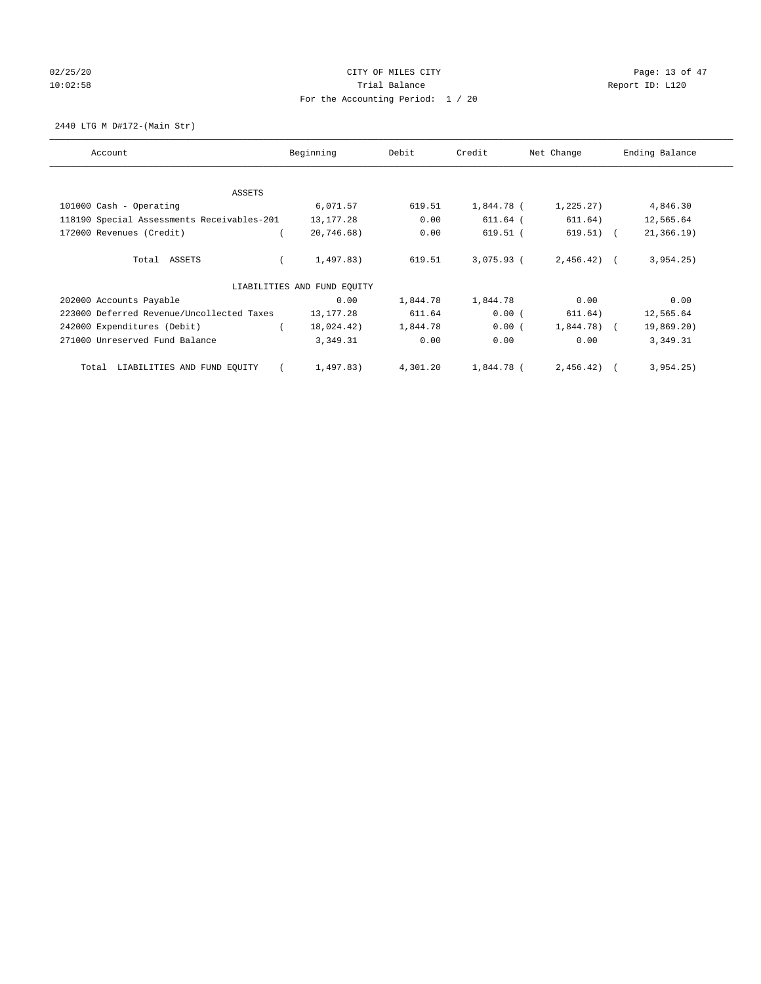# 02/25/20 Page: 13 of 47 10:02:58 **Trial Balance Trial Balance Report ID:** L120 For the Accounting Period: 1 / 20

2440 LTG M D#172-(Main Str)

| Account                                    | Beginning                   | Debit    | Credit       | Net Change   | Ending Balance |
|--------------------------------------------|-----------------------------|----------|--------------|--------------|----------------|
| ASSETS                                     |                             |          |              |              |                |
| 101000 Cash - Operating                    | 6,071.57                    | 619.51   | 1,844.78 (   | 1,225.27)    | 4,846.30       |
| 118190 Special Assessments Receivables-201 | 13,177.28                   | 0.00     | 611.64 (     | 611.64)      | 12,565.64      |
| 172000 Revenues (Credit)                   | 20,746.68)                  | 0.00     | $619.51$ (   | $619.51)$ (  | 21, 366.19     |
| Total ASSETS                               | 1,497.83)                   | 619.51   | $3.075.93$ ( | $2,456.42$ ( | 3,954.25)      |
|                                            | LIABILITIES AND FUND EQUITY |          |              |              |                |
| 202000 Accounts Payable                    | 0.00                        | 1,844.78 | 1,844.78     | 0.00         | 0.00           |
| 223000 Deferred Revenue/Uncollected Taxes  | 13,177.28                   | 611.64   | 0.00(        | 611.64)      | 12,565.64      |
| 242000 Expenditures (Debit)                | 18,024.42)                  | 1,844.78 | 0.00(        | $1,844.78$ ( | 19,869.20)     |
| 271000 Unreserved Fund Balance             | 3,349.31                    | 0.00     | 0.00         | 0.00         | 3,349.31       |
| LIABILITIES AND FUND EQUITY<br>Total       | 1,497.83)                   | 4,301.20 | 1,844.78 (   | 2,456.42)    | 3,954.25)      |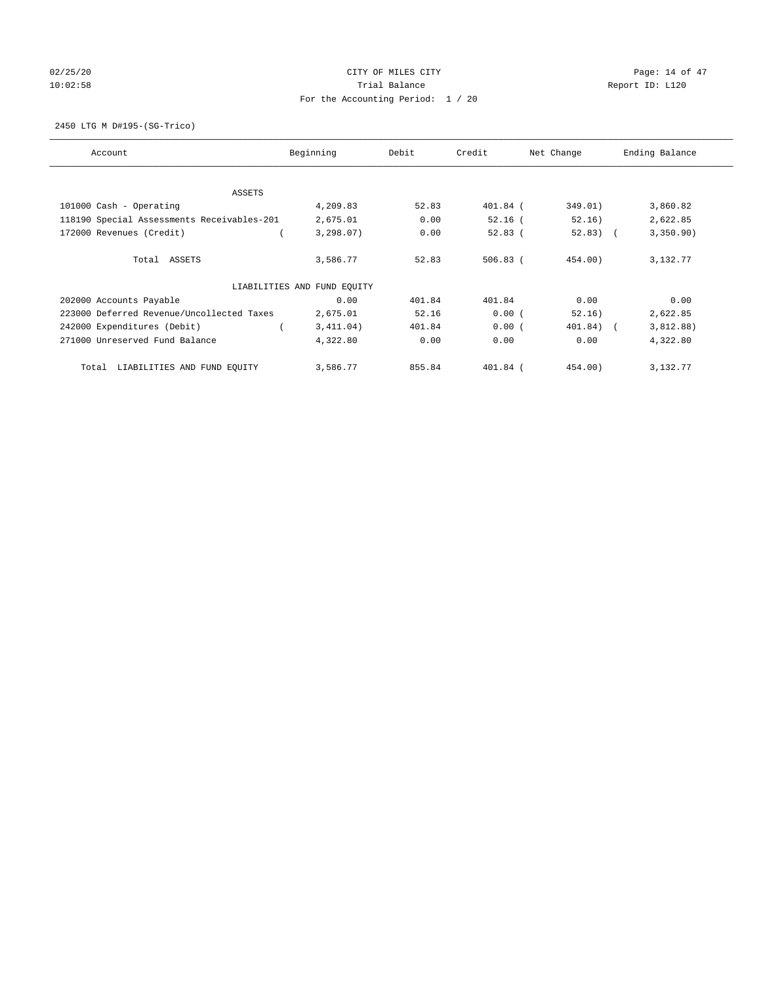# 02/25/20 Page: 14 of 47 10:02:58 **Trial Balance Trial Balance Report ID:** L120 For the Accounting Period: 1 / 20

2450 LTG M D#195-(SG-Trico)

| Account                                    | Beginning                   | Debit  | Credit     | Net Change | Ending Balance |
|--------------------------------------------|-----------------------------|--------|------------|------------|----------------|
| ASSETS                                     |                             |        |            |            |                |
| 101000 Cash - Operating                    | 4,209.83                    | 52.83  | 401.84 (   | 349.01)    | 3,860.82       |
| 118190 Special Assessments Receivables-201 | 2,675.01                    | 0.00   | $52.16$ (  | 52.16)     | 2,622.85       |
| 172000 Revenues (Credit)                   | 3,298.07)                   | 0.00   | 52.83(     | $52.83)$ ( | 3,350.90)      |
| Total ASSETS                               | 3,586.77                    | 52.83  | $506.83$ ( | 454.00)    | 3,132.77       |
|                                            | LIABILITIES AND FUND EQUITY |        |            |            |                |
| 202000 Accounts Payable                    | 0.00                        | 401.84 | 401.84     | 0.00       | 0.00           |
| 223000 Deferred Revenue/Uncollected Taxes  | 2,675.01                    | 52.16  | 0.00(      | 52.16)     | 2,622.85       |
| 242000 Expenditures (Debit)                | 3,411.04)                   | 401.84 | 0.00(      | 401.84) (  | 3,812.88)      |
| 271000 Unreserved Fund Balance             | 4,322.80                    | 0.00   | 0.00       | 0.00       | 4,322.80       |
| LIABILITIES AND FUND EQUITY<br>Total       | 3,586.77                    | 855.84 | $401.84$ ( | 454.00)    | 3,132.77       |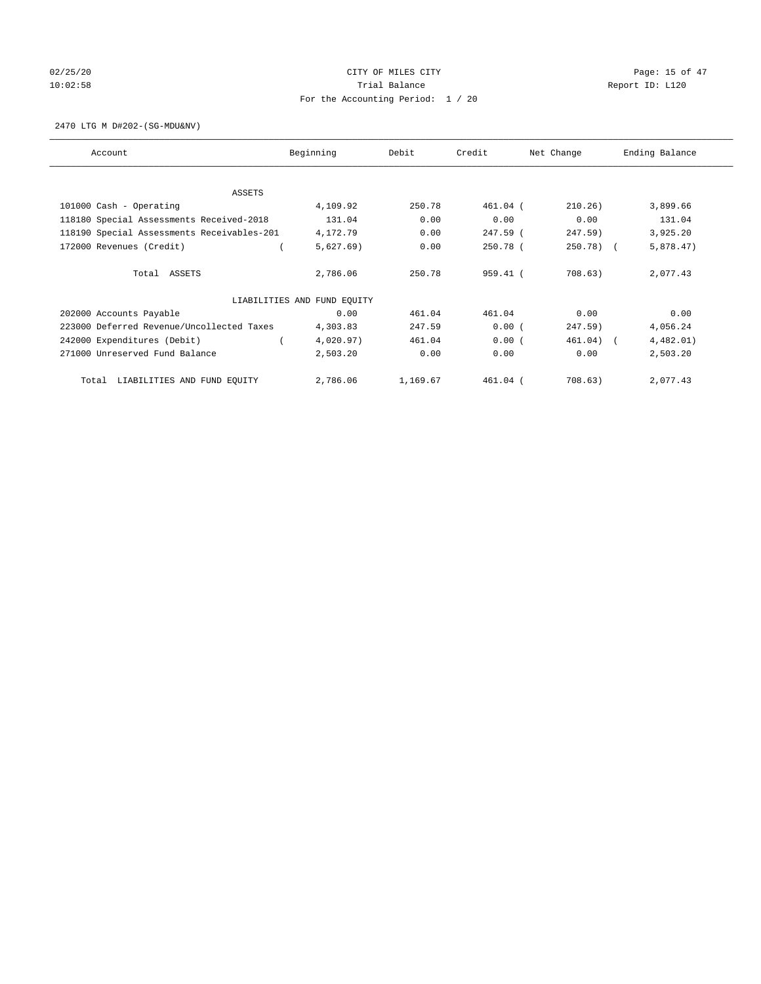# 02/25/20 Page: 15 of 47 10:02:58 **Trial Balance Trial Balance Report ID:** L120 For the Accounting Period: 1 / 20

2470 LTG M D#202-(SG-MDU&NV)

| Account                                    | Beginning                   | Debit    | Credit     | Net Change | Ending Balance |
|--------------------------------------------|-----------------------------|----------|------------|------------|----------------|
| <b>ASSETS</b>                              |                             |          |            |            |                |
| 101000 Cash - Operating                    | 4,109.92                    | 250.78   | $461.04$ ( | 210.26)    | 3,899.66       |
| 118180 Special Assessments Received-2018   | 131.04                      | 0.00     | 0.00       | 0.00       | 131.04         |
| 118190 Special Assessments Receivables-201 | 4,172.79                    | 0.00     | 247.59 (   | 247.59)    | 3,925.20       |
| 172000 Revenues (Credit)                   | 5,627.69)                   | 0.00     | 250.78 (   | $250.78$ ( | 5,878.47)      |
| Total ASSETS                               | 2,786.06                    | 250.78   | 959.41 (   | 708.63)    | 2,077.43       |
|                                            |                             |          |            |            |                |
|                                            | LIABILITIES AND FUND EQUITY |          |            |            |                |
| 202000 Accounts Payable                    | 0.00                        | 461.04   | 461.04     | 0.00       | 0.00           |
| 223000 Deferred Revenue/Uncollected Taxes  | 4,303.83                    | 247.59   | 0.00(      | 247.59)    | 4,056.24       |
| 242000 Expenditures (Debit)                | 4,020.97)                   | 461.04   | 0.00(      | 461.04)    | 4,482.01)      |
| 271000 Unreserved Fund Balance             | 2,503.20                    | 0.00     | 0.00       | 0.00       | 2,503.20       |
| LIABILITIES AND FUND EQUITY<br>Total       | 2,786.06                    | 1,169.67 | 461.04 (   | 708.63)    | 2,077.43       |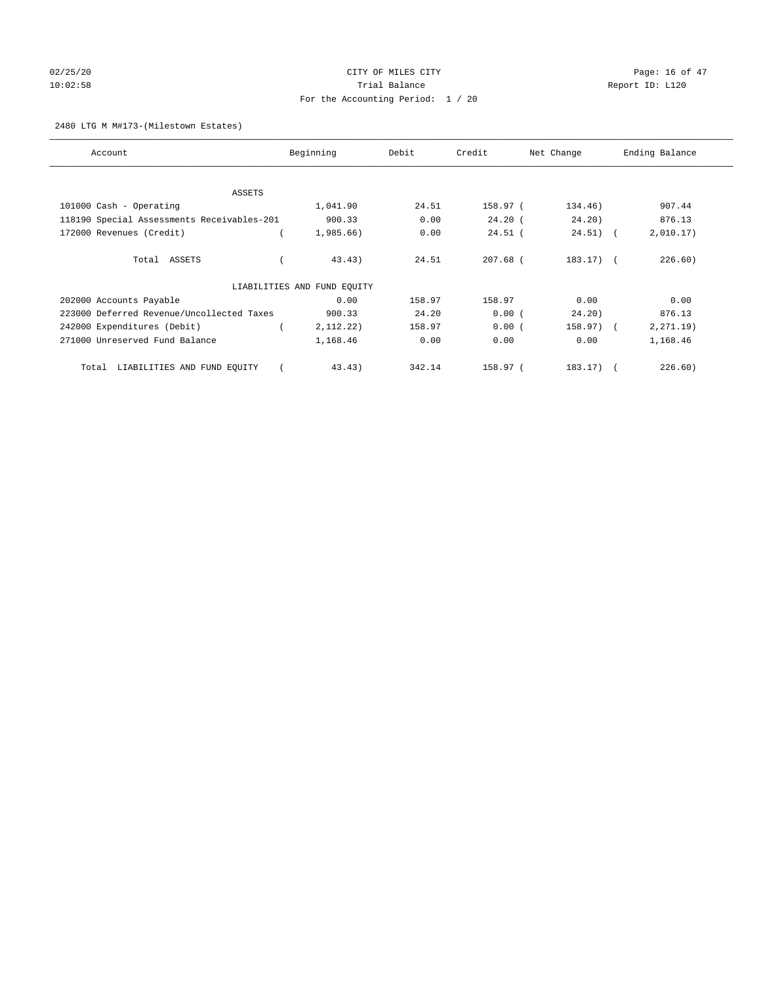# $02/25/20$  Page: 16 of 47 10:02:58 **Trial Balance Trial Balance Report ID:** L120 For the Accounting Period: 1 / 20

## 2480 LTG M M#173-(Milestown Estates)

| Account                                    | Beginning                   | Debit  | Credit     | Net Change   | Ending Balance |
|--------------------------------------------|-----------------------------|--------|------------|--------------|----------------|
| ASSETS                                     |                             |        |            |              |                |
| 101000 Cash - Operating                    | 1,041.90                    | 24.51  | 158.97 (   | 134.46)      | 907.44         |
| 118190 Special Assessments Receivables-201 | 900.33                      | 0.00   | $24.20$ (  | 24.20)       | 876.13         |
| 172000 Revenues (Credit)                   | 1,985.66)                   | 0.00   | $24.51$ (  | $24.51)$ (   | 2,010.17)      |
| Total ASSETS                               | 43.43)                      | 24.51  | $207.68$ ( | $183.17$ ) ( | 226.60)        |
|                                            | LIABILITIES AND FUND EQUITY |        |            |              |                |
| 202000 Accounts Payable                    | 0.00                        | 158.97 | 158.97     | 0.00         | 0.00           |
| 223000 Deferred Revenue/Uncollected Taxes  | 900.33                      | 24.20  | 0.00(      | 24.20)       | 876.13         |
| 242000 Expenditures (Debit)                | 2, 112. 22)                 | 158.97 | 0.00(      | 158.97) (    | 2, 271.19)     |
| 271000 Unreserved Fund Balance             | 1,168.46                    | 0.00   | 0.00       | 0.00         | 1,168.46       |
| LIABILITIES AND FUND EQUITY<br>Total       | 43.43)                      | 342.14 | 158.97 (   | $183.17$ ) ( | 226.60)        |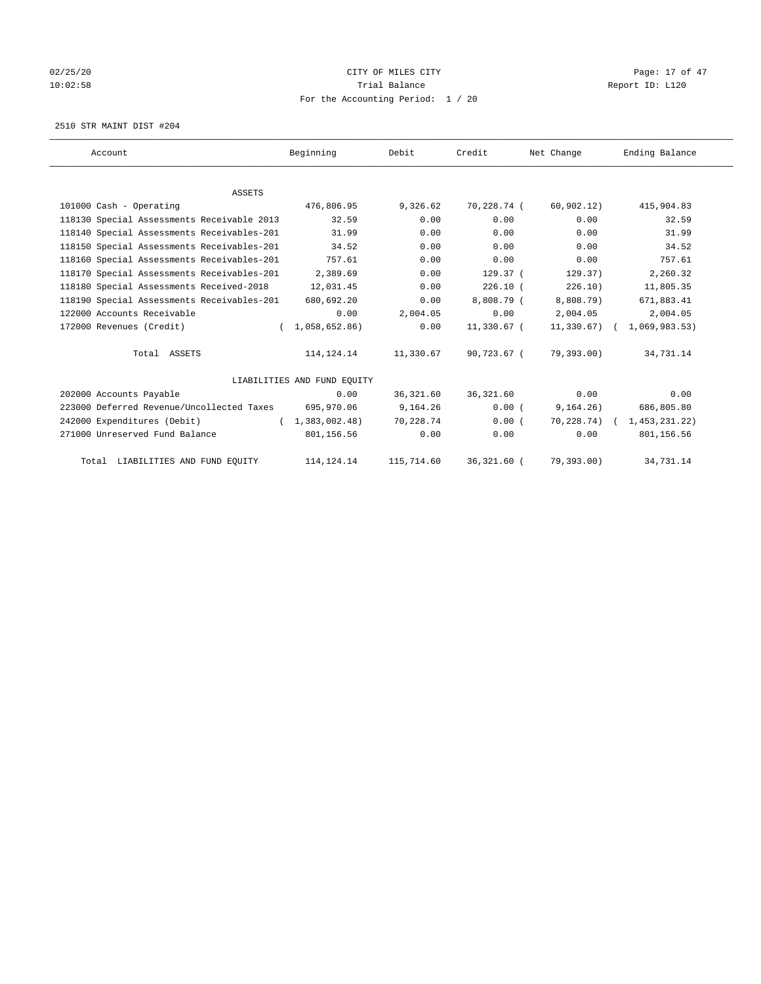# 02/25/20 Page: 17 of 47 10:02:58 **Trial Balance Trial Balance Report ID:** L120 For the Accounting Period: 1 / 20

2510 STR MAINT DIST #204

| Account                                    | Beginning                   | Debit      | Credit      | Net Change      | Ending Balance |
|--------------------------------------------|-----------------------------|------------|-------------|-----------------|----------------|
|                                            |                             |            |             |                 |                |
| <b>ASSETS</b>                              |                             |            |             |                 |                |
| 101000 Cash - Operating                    | 476,806.95                  | 9,326.62   | 70,228.74 ( | 60,902.12)      | 415,904.83     |
| 118130 Special Assessments Receivable 2013 | 32.59                       | 0.00       | 0.00        | 0.00            | 32.59          |
| 118140 Special Assessments Receivables-201 | 31.99                       | 0.00       | 0.00        | 0.00            | 31.99          |
| 118150 Special Assessments Receivables-201 | 34.52                       | 0.00       | 0.00        | 0.00            | 34.52          |
| 118160 Special Assessments Receivables-201 | 757.61                      | 0.00       | 0.00        | 0.00            | 757.61         |
| 118170 Special Assessments Receivables-201 | 2,389.69                    | 0.00       | 129.37(     | 129.37)         | 2,260.32       |
| 118180 Special Assessments Received-2018   | 12,031.45                   | 0.00       | 226.10(     | 226.10)         | 11,805.35      |
| 118190 Special Assessments Receivables-201 | 680,692.20                  | 0.00       | 8,808.79 (  | 8,808.79)       | 671,883.41     |
| 122000 Accounts Receivable                 | 0.00                        | 2,004.05   | 0.00        | 2,004.05        | 2,004.05       |
| 172000 Revenues (Credit)<br>$\epsilon$     | 1,058,652.86)               | 0.00       | 11,330.67 ( | $11,330.67$ )   | 1,069,983.53)  |
| Total ASSETS                               | 114, 124. 14                | 11,330.67  | 90,723.67 ( | 79,393.00)      | 34,731.14      |
|                                            | LIABILITIES AND FUND EQUITY |            |             |                 |                |
| 202000 Accounts Payable                    | 0.00                        | 36, 321.60 | 36,321.60   | 0.00            | 0.00           |
| 223000 Deferred Revenue/Uncollected Taxes  | 695,970.06                  | 9,164.26   | 0.00(       | 9, 164.26)      | 686,805.80     |
| 242000 Expenditures (Debit)                | (1, 383, 002.48)            | 70,228.74  | 0.00(       | $70, 228, 74$ ( | 1,453,231.22)  |
| 271000 Unreserved Fund Balance             | 801,156.56                  | 0.00       | 0.00        | 0.00            | 801,156.56     |
| Total LIABILITIES AND FUND EQUITY          | 114, 124. 14                | 115,714.60 | 36,321.60 ( | 79,393.00)      | 34,731.14      |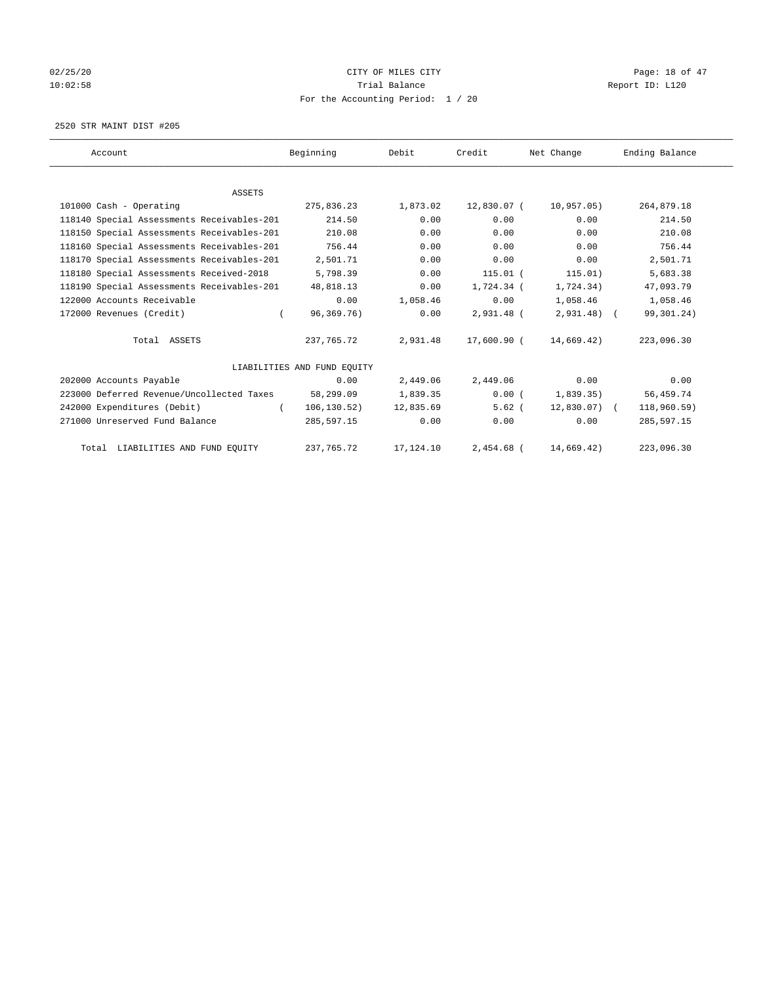# 02/25/20 Page: 18 of 47 10:02:58 **Trial Balance Trial Balance Report ID:** L120 For the Accounting Period: 1 / 20

2520 STR MAINT DIST #205

| Account                                    | Beginning                   | Debit     | Credit       | Net Change    | Ending Balance |
|--------------------------------------------|-----------------------------|-----------|--------------|---------------|----------------|
|                                            |                             |           |              |               |                |
| <b>ASSETS</b>                              |                             |           |              |               |                |
| 101000 Cash - Operating                    | 275,836.23                  | 1,873.02  | 12,830.07 (  | 10,957.05)    | 264,879.18     |
| 118140 Special Assessments Receivables-201 | 214.50                      | 0.00      | 0.00         | 0.00          | 214.50         |
| 118150 Special Assessments Receivables-201 | 210.08                      | 0.00      | 0.00         | 0.00          | 210.08         |
| 118160 Special Assessments Receivables-201 | 756.44                      | 0.00      | 0.00         | 0.00          | 756.44         |
| 118170 Special Assessments Receivables-201 | 2,501.71                    | 0.00      | 0.00         | 0.00          | 2,501.71       |
| 118180 Special Assessments Received-2018   | 5,798.39                    | 0.00      | $115.01$ (   | 115.01)       | 5,683.38       |
| 118190 Special Assessments Receivables-201 | 48,818.13                   | 0.00      | 1,724.34 (   | 1,724.34)     | 47,093.79      |
| 122000 Accounts Receivable                 | 0.00                        | 1,058.46  | 0.00         | 1,058.46      | 1,058.46       |
| 172000 Revenues (Credit)                   | 96,369.76)<br>$\left($      | 0.00      | 2,931.48 (   | $2,931.48$ (  | 99,301.24)     |
| Total ASSETS                               | 237,765.72                  | 2,931.48  | 17,600.90 (  | 14,669.42)    | 223,096.30     |
|                                            | LIABILITIES AND FUND EQUITY |           |              |               |                |
| 202000 Accounts Payable                    | 0.00                        | 2,449.06  | 2,449.06     | 0.00          | 0.00           |
| 223000 Deferred Revenue/Uncollected Taxes  | 58,299.09                   | 1,839.35  | 0.00(        | 1,839.35)     | 56,459.74      |
| 242000 Expenditures (Debit)                | 106, 130.52)                | 12,835.69 | $5.62$ (     | $12,830.07$ ( | 118,960.59)    |
| 271000 Unreserved Fund Balance             | 285,597.15                  | 0.00      | 0.00         | 0.00          | 285,597.15     |
| Total LIABILITIES AND FUND EQUITY          | 237, 765. 72                | 17,124.10 | $2.454.68$ ( | 14,669.42)    | 223,096.30     |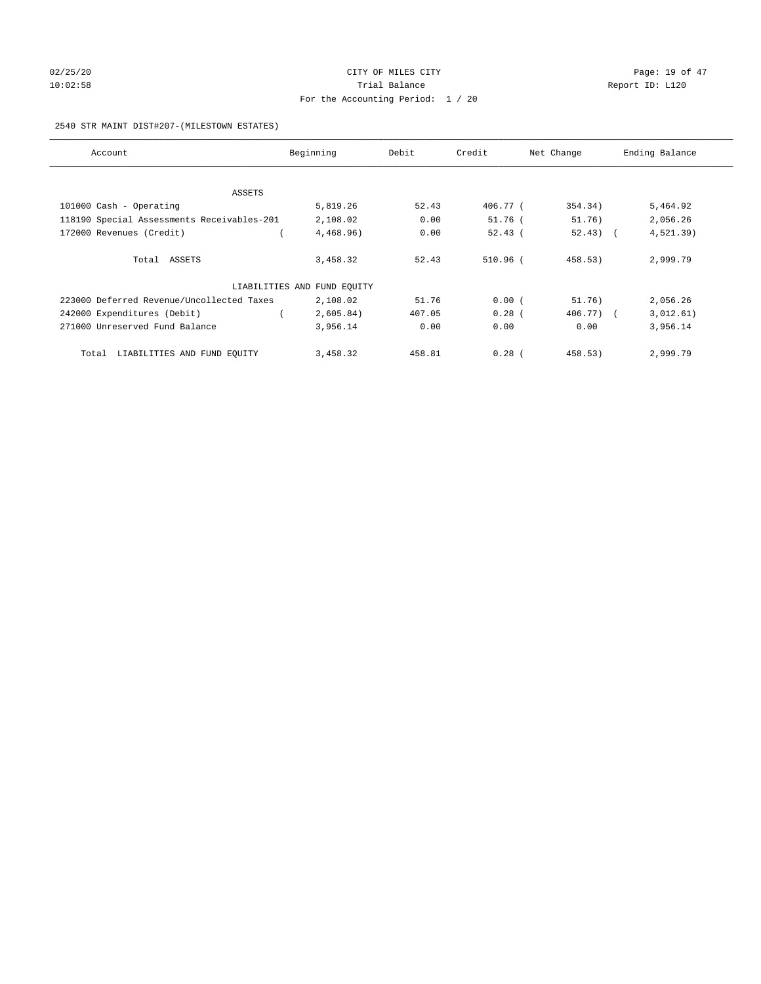# 02/25/20 **CITY OF MILES CITY CONSUMING THE PAGE:** 19 of 47 10:02:58 **Trial Balance Trial Balance Report ID:** L120 For the Accounting Period: 1 / 20

#### 2540 STR MAINT DIST#207-(MILESTOWN ESTATES)

| Account                                    | Beginning                   | Debit  | Credit     | Net Change  | Ending Balance |
|--------------------------------------------|-----------------------------|--------|------------|-------------|----------------|
|                                            |                             |        |            |             |                |
| ASSETS<br>101000 Cash - Operating          | 5,819.26                    | 52.43  | 406.77 (   | 354.34)     | 5,464.92       |
| 118190 Special Assessments Receivables-201 | 2,108.02                    | 0.00   | $51.76$ (  | 51.76)      | 2,056.26       |
| 172000 Revenues (Credit)                   | 4,468.96)                   | 0.00   | 52.43(     | $52.43$ ) ( | 4,521.39)      |
|                                            |                             |        |            |             |                |
| Total ASSETS                               | 3,458.32                    | 52.43  | $510.96$ ( | 458.53)     | 2,999.79       |
|                                            | LIABILITIES AND FUND EQUITY |        |            |             |                |
| 223000 Deferred Revenue/Uncollected Taxes  | 2,108.02                    | 51.76  | 0.00(      | 51.76)      | 2,056.26       |
| 242000 Expenditures (Debit)                | 2,605.84)                   | 407.05 | $0.28$ (   | 406.77) (   | 3,012.61)      |
| 271000 Unreserved Fund Balance             | 3,956.14                    | 0.00   | 0.00       | 0.00        | 3,956.14       |
| Total LIABILITIES AND FUND EQUITY          | 3,458.32                    | 458.81 | $0.28$ (   | 458.53)     | 2,999.79       |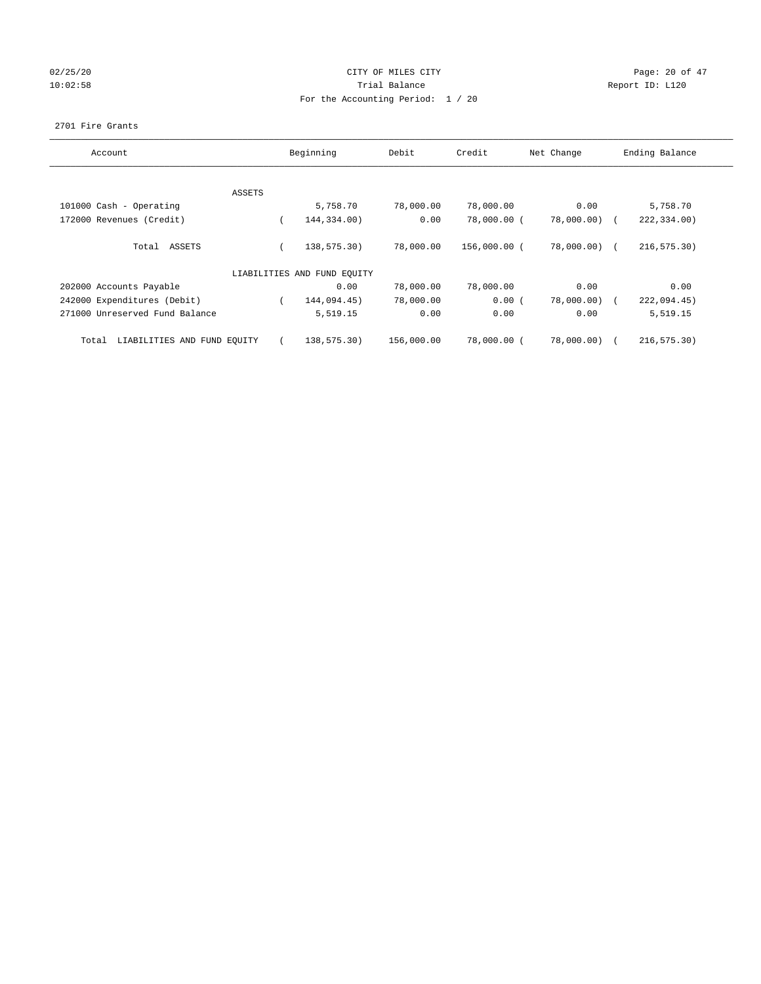# 02/25/20 Page: 20 of 47 10:02:58 **Trial Balance Trial Balance Report ID:** L120 For the Accounting Period: 1 / 20

#### 2701 Fire Grants

| Account                              |        | Beginning                   | Debit      | Credit       | Net Change   | Ending Balance |
|--------------------------------------|--------|-----------------------------|------------|--------------|--------------|----------------|
|                                      |        |                             |            |              |              |                |
|                                      | ASSETS |                             |            |              |              |                |
| 101000 Cash - Operating              |        | 5,758.70                    | 78,000.00  | 78,000.00    | 0.00         | 5,758.70       |
| 172000 Revenues (Credit)             |        | 144,334.00)                 | 0.00       | 78,000.00 (  | 78,000.00)   | 222,334.00)    |
| ASSETS<br>Total                      |        | 138,575.30)                 | 78,000.00  | 156,000.00 ( | 78,000.00) ( | 216, 575.30    |
|                                      |        | LIABILITIES AND FUND EQUITY |            |              |              |                |
| 202000 Accounts Payable              |        | 0.00                        | 78,000.00  | 78,000.00    | 0.00         | 0.00           |
| 242000 Expenditures (Debit)          |        | 144,094.45)                 | 78,000.00  | 0.00(        | 78,000.00)   | 222,094.45)    |
| 271000 Unreserved Fund Balance       |        | 5,519.15                    | 0.00       | 0.00         | 0.00         | 5,519.15       |
| LIABILITIES AND FUND EQUITY<br>Total |        | 138,575.30)                 | 156,000.00 | 78,000.00 (  | 78,000.00)   | 216,575.30)    |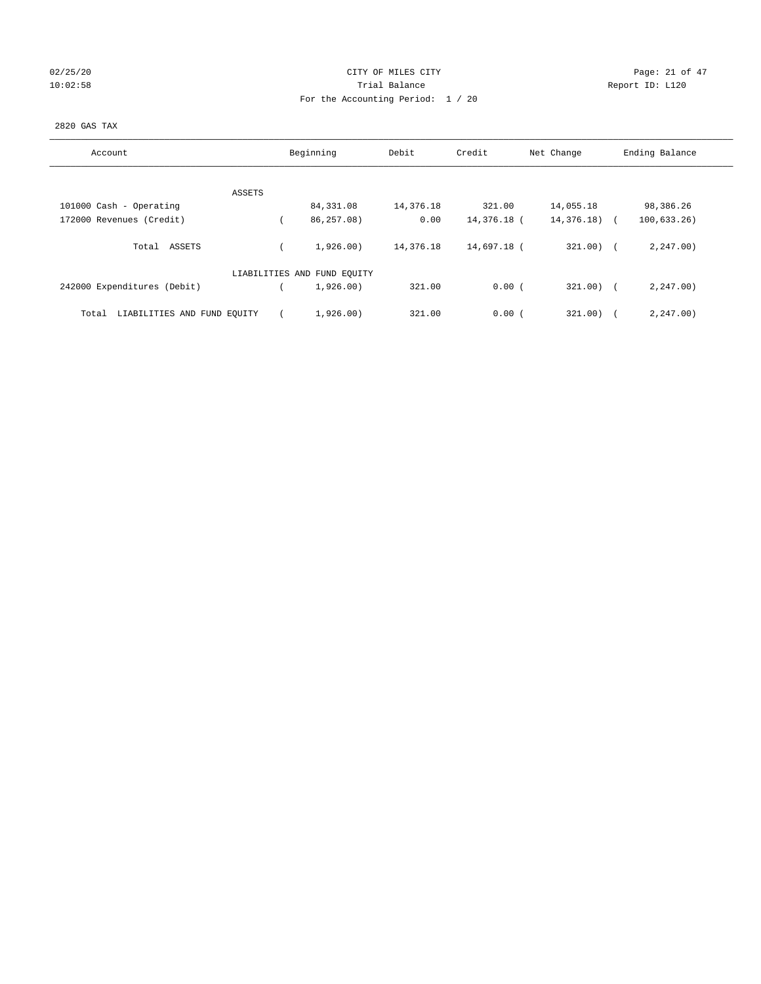| 02/25/20 |  |
|----------|--|
| 10:02:58 |  |

# CITY OF MILES CITY CONTROL CONTROL CONTROL CITY CONTROL PAGE: 21 of 47 10:02:58 Trial Balance Report ID: L120 For the Accounting Period: 1 / 20

## 2820 GAS TAX

| Account                              | Beginning                   | Debit     | Credit      | Net Change    | Ending Balance |
|--------------------------------------|-----------------------------|-----------|-------------|---------------|----------------|
|                                      |                             |           |             |               |                |
| ASSETS                               |                             |           |             |               |                |
| 101000 Cash - Operating              | 84,331.08                   | 14,376.18 | 321.00      | 14,055.18     | 98,386.26      |
| 172000 Revenues (Credit)             | 86,257.08)                  | 0.00      | 14,376.18 ( | $14,376.18$ ( | 100, 633, 26)  |
| ASSETS<br>Total                      | 1,926,00)                   | 14,376.18 | 14,697.18 ( | $321.00$ ) (  | 2, 247.00      |
|                                      | LIABILITIES AND FUND EQUITY |           |             |               |                |
| 242000 Expenditures (Debit)          | 1,926.00)                   | 321.00    | 0.00(       | $321.00$ ) (  | 2, 247.00      |
| LIABILITIES AND FUND EQUITY<br>Total | 1,926.00)                   | 321.00    | 0.00(       | 321.00)       | 2, 247.00      |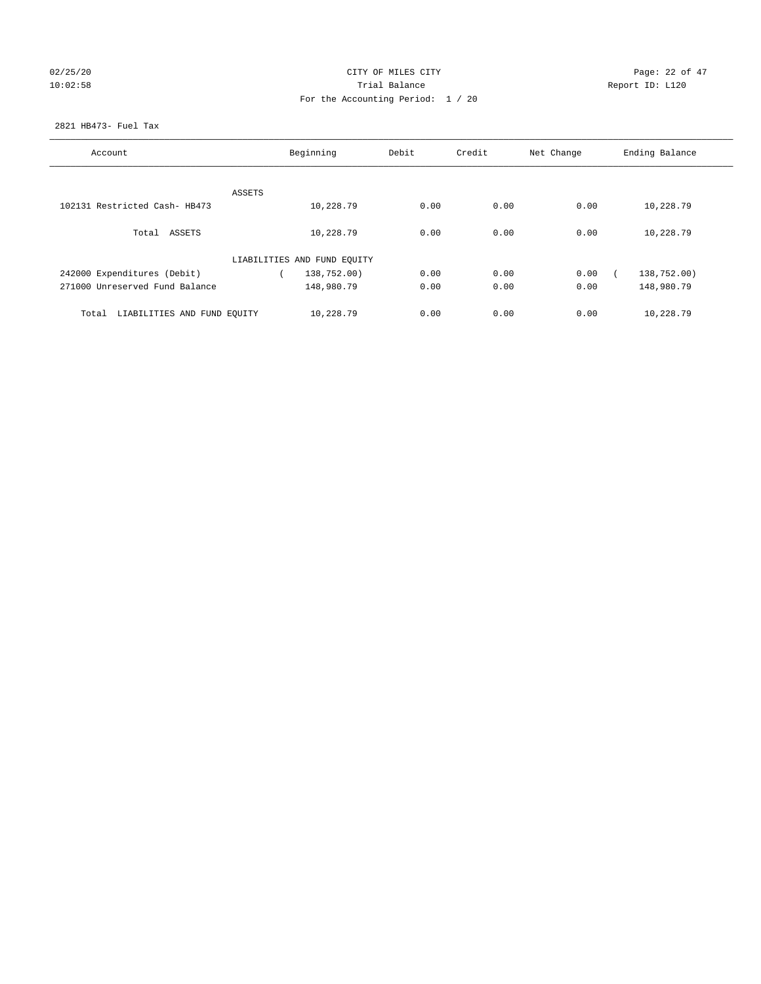# 02/25/20 Page: 22 of 47 10:02:58 **Trial Balance Trial Balance Report ID:** L120 For the Accounting Period: 1 / 20

## 2821 HB473- Fuel Tax

| Account                              |        | Beginning                   | Debit | Credit | Net Change | Ending Balance |
|--------------------------------------|--------|-----------------------------|-------|--------|------------|----------------|
|                                      |        |                             |       |        |            |                |
|                                      | ASSETS |                             |       |        |            |                |
| 102131 Restricted Cash- HB473        |        | 10,228.79                   | 0.00  | 0.00   | 0.00       | 10,228.79      |
| Total ASSETS                         |        | 10,228.79                   | 0.00  | 0.00   | 0.00       | 10,228.79      |
|                                      |        | LIABILITIES AND FUND EQUITY |       |        |            |                |
| 242000 Expenditures (Debit)          |        | 138,752.00)                 | 0.00  | 0.00   | 0.00       | 138,752.00)    |
| 271000 Unreserved Fund Balance       |        | 148,980.79                  | 0.00  | 0.00   | 0.00       | 148,980.79     |
| LIABILITIES AND FUND EQUITY<br>Total |        | 10,228.79                   | 0.00  | 0.00   | 0.00       | 10,228.79      |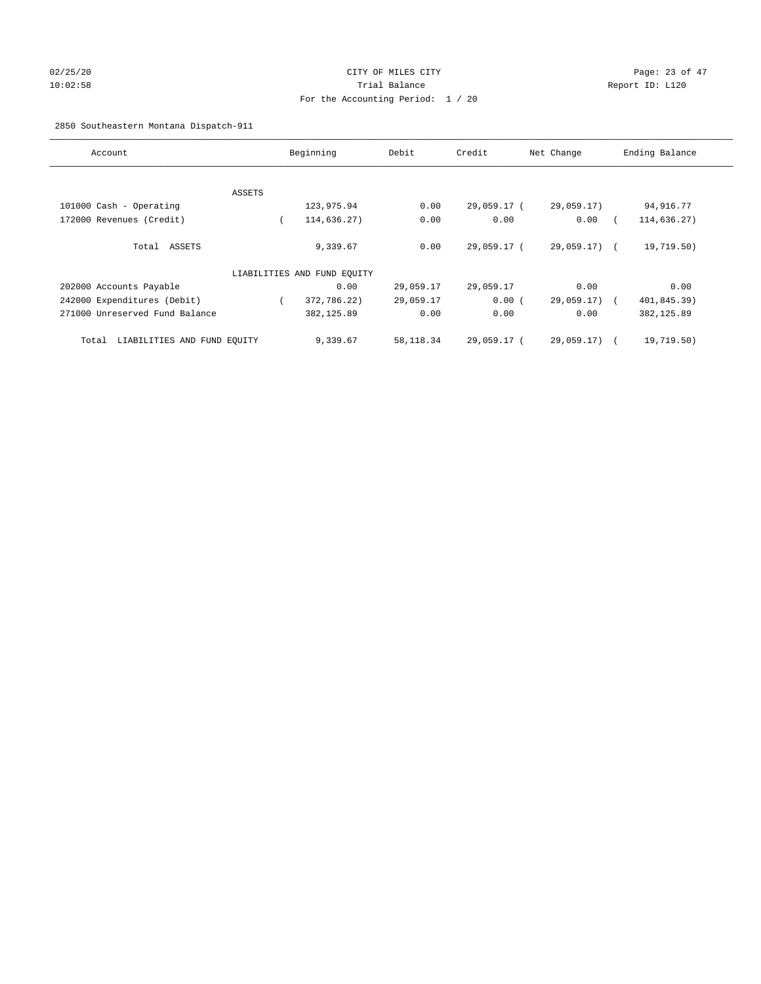# 02/25/20 Page: 23 of 47 10:02:58 Trial Balance Report ID: L120 For the Accounting Period: 1 / 20

# 2850 Southeastern Montana Dispatch-911

| Account                              |        | Beginning                   | Debit     | Credit      | Net Change   | Ending Balance            |
|--------------------------------------|--------|-----------------------------|-----------|-------------|--------------|---------------------------|
|                                      |        |                             |           |             |              |                           |
|                                      | ASSETS |                             |           |             |              |                           |
| 101000 Cash - Operating              |        | 123,975.94                  | 0.00      | 29,059.17 ( | 29,059.17)   | 94,916.77                 |
| 172000 Revenues (Credit)             |        | 114,636.27)                 | 0.00      | 0.00        | 0.00         | 114,636.27)               |
| Total ASSETS                         |        | 9,339.67                    | 0.00      | 29,059.17 ( | 29,059.17) ( | 19,719.50)                |
|                                      |        | LIABILITIES AND FUND EQUITY |           |             |              |                           |
| 202000 Accounts Payable              |        | 0.00                        | 29,059.17 | 29,059.17   | 0.00         | 0.00                      |
| 242000 Expenditures (Debit)          |        | 372,786.22)                 | 29,059.17 | 0.00(       | 29,059.17)   | 401,845.39)<br>$\sqrt{2}$ |
| 271000 Unreserved Fund Balance       |        | 382,125.89                  | 0.00      | 0.00        | 0.00         | 382,125.89                |
| LIABILITIES AND FUND EQUITY<br>Total |        | 9,339.67                    | 58,118.34 | 29,059.17 ( | 29,059.17) ( | 19,719.50)                |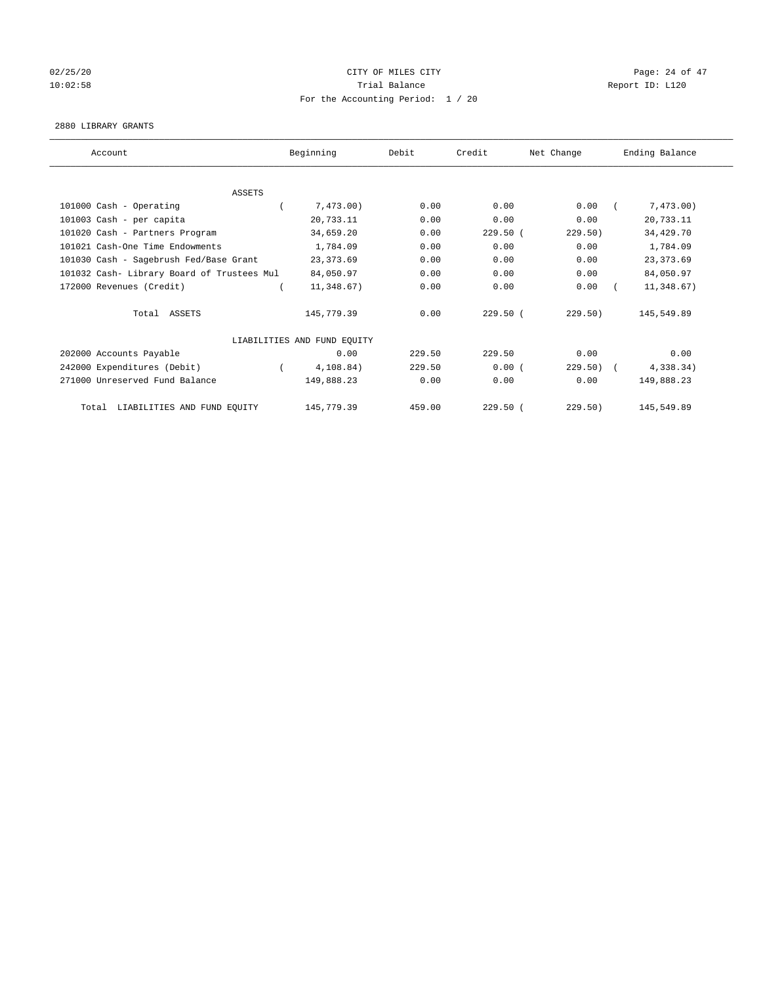# $02/25/20$  Page: 24 of 47 10:02:58 **Trial Balance Trial Balance Report ID:** L120 For the Accounting Period: 1 / 20

#### 2880 LIBRARY GRANTS

| Account                                    | Beginning                   | Debit  | Credit     | Net Change | Ending Balance |
|--------------------------------------------|-----------------------------|--------|------------|------------|----------------|
|                                            |                             |        |            |            |                |
| <b>ASSETS</b>                              |                             |        |            |            |                |
| 101000 Cash - Operating                    | 7,473.00)                   | 0.00   | 0.00       | 0.00       | 7,473.00)      |
| 101003 Cash - per capita                   | 20,733.11                   | 0.00   | 0.00       | 0.00       | 20,733.11      |
| 101020 Cash - Partners Program             | 34,659.20                   | 0.00   | $229.50$ ( | 229.50)    | 34,429.70      |
| 101021 Cash-One Time Endowments            | 1,784.09                    | 0.00   | 0.00       | 0.00       | 1,784.09       |
| 101030 Cash - Sagebrush Fed/Base Grant     | 23, 373.69                  | 0.00   | 0.00       | 0.00       | 23, 373.69     |
| 101032 Cash- Library Board of Trustees Mul | 84,050.97                   | 0.00   | 0.00       | 0.00       | 84,050.97      |
| 172000 Revenues (Credit)                   | 11,348.67)                  | 0.00   | 0.00       | 0.00       | 11,348.67)     |
| Total ASSETS                               | 145,779.39                  | 0.00   | $229.50$ ( | 229.50)    | 145,549.89     |
|                                            | LIABILITIES AND FUND EQUITY |        |            |            |                |
| 202000 Accounts Payable                    | 0.00                        | 229.50 | 229.50     | 0.00       | 0.00           |
| 242000 Expenditures (Debit)                | 4,108.84)                   | 229.50 | 0.00(      | 229.50     | 4,338.34)      |
| 271000 Unreserved Fund Balance             | 149,888.23                  | 0.00   | 0.00       | 0.00       | 149,888.23     |
| LIABILITIES AND FUND EQUITY<br>Total       | 145,779.39                  | 459.00 | $229.50$ ( | 229.50)    | 145,549.89     |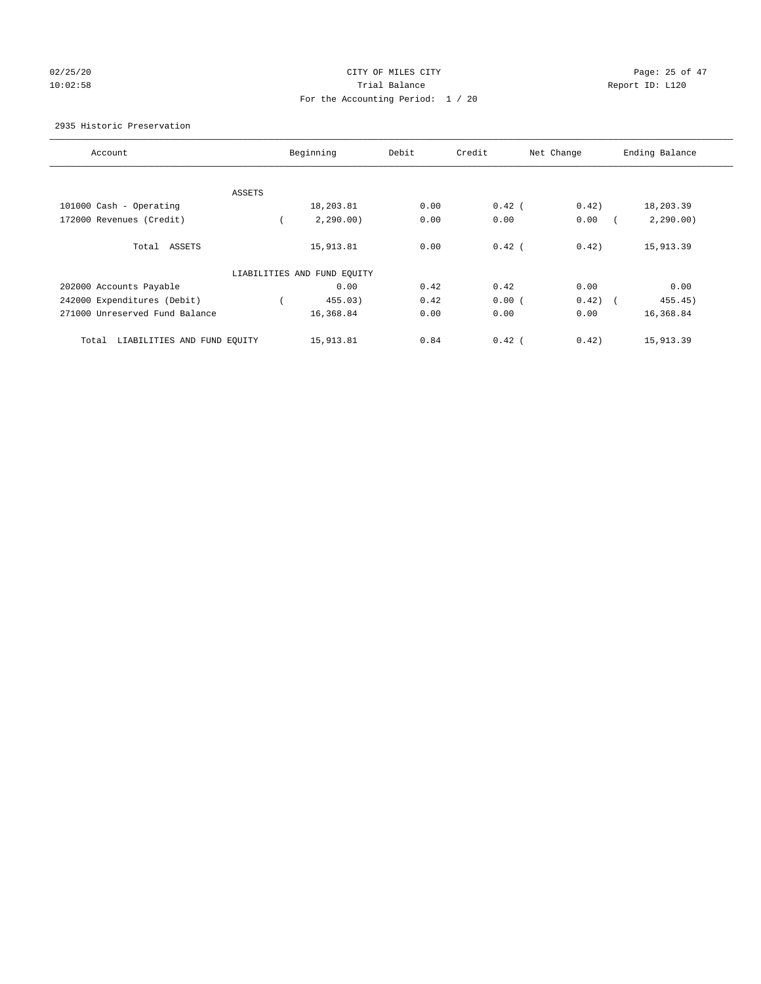# 02/25/20 Page: 25 of 47 10:02:58 Trial Balance Report ID: L120 For the Accounting Period: 1 / 20

## 2935 Historic Preservation

| Account                              | Beginning                   | Debit | Credit   | Net Change | Ending Balance                      |
|--------------------------------------|-----------------------------|-------|----------|------------|-------------------------------------|
|                                      |                             |       |          |            |                                     |
| ASSETS                               |                             |       |          |            |                                     |
| 101000 Cash - Operating              | 18,203.81                   | 0.00  | $0.42$ ( | 0.42)      | 18,203.39                           |
| 172000 Revenues (Credit)             | 2, 290.00)                  | 0.00  | 0.00     | 0.00       | 2, 290.00)                          |
| Total ASSETS                         | 15,913.81                   | 0.00  | $0.42$ ( | 0.42)      | 15,913.39                           |
|                                      | LIABILITIES AND FUND EQUITY |       |          |            |                                     |
| 202000 Accounts Payable              | 0.00                        | 0.42  | 0.42     | 0.00       | 0.00                                |
| 242000 Expenditures (Debit)          | 455.03)                     | 0.42  | 0.00(    | 0.42)      | 455.45)<br>$\overline{\phantom{a}}$ |
| 271000 Unreserved Fund Balance       | 16,368.84                   | 0.00  | 0.00     | 0.00       | 16,368.84                           |
| LIABILITIES AND FUND EQUITY<br>Total | 15,913.81                   | 0.84  | $0.42$ ( | 0.42)      | 15,913.39                           |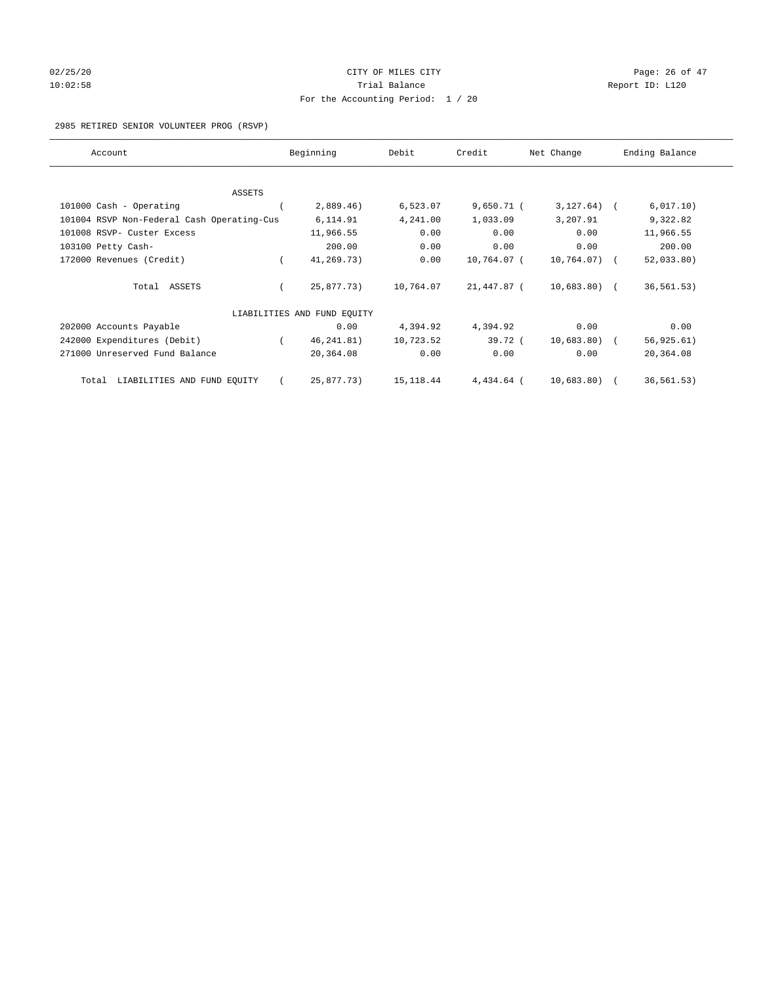# $02/25/20$  Page: 26 of 47 10:02:58 **Trial Balance Trial Balance Report ID:** L120 For the Accounting Period: 1 / 20

2985 RETIRED SENIOR VOLUNTEER PROG (RSVP)

| Account                                    | Beginning                   | Debit      | Credit       | Net Change   | Ending Balance |
|--------------------------------------------|-----------------------------|------------|--------------|--------------|----------------|
|                                            |                             |            |              |              |                |
| <b>ASSETS</b>                              |                             |            |              |              |                |
| 101000 Cash - Operating                    | 2,889.46)                   | 6,523.07   | $9,650.71$ ( | $3,127.64$ ( | 6,017.10)      |
| 101004 RSVP Non-Federal Cash Operating-Cus | 6,114.91                    | 4,241.00   | 1,033.09     | 3,207.91     | 9,322.82       |
| 101008 RSVP- Custer Excess                 | 11,966.55                   | 0.00       | 0.00         | 0.00         | 11,966.55      |
| 103100 Petty Cash-                         | 200.00                      | 0.00       | 0.00         | 0.00         | 200.00         |
| 172000 Revenues (Credit)                   | 41,269.73)                  | 0.00       | 10,764.07 (  | 10,764.07) ( | 52,033.80)     |
| Total ASSETS                               | 25,877.73)                  | 10,764.07  | 21,447.87 (  | 10,683.80) ( | 36, 561.53)    |
|                                            | LIABILITIES AND FUND EQUITY |            |              |              |                |
| 202000 Accounts Payable                    | 0.00                        | 4,394.92   | 4,394.92     | 0.00         | 0.00           |
| 242000 Expenditures (Debit)                | 46, 241.81)                 | 10,723.52  | 39.72 (      | 10,683.80)   | 56, 925.61)    |
| 271000 Unreserved Fund Balance             | 20,364.08                   | 0.00       | 0.00         | 0.00         | 20,364.08      |
| LIABILITIES AND FUND EQUITY<br>Total       | 25,877.73)                  | 15, 118.44 | 4,434.64 (   | 10,683.80) ( | 36, 561.53)    |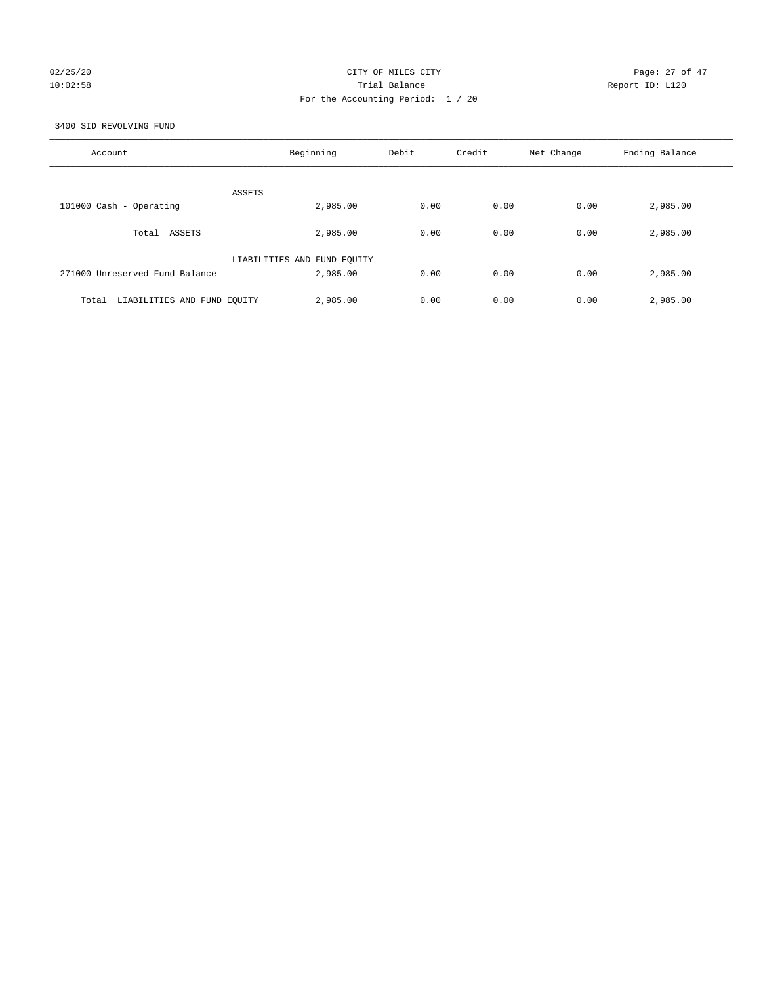# 02/25/20 Page: 27 of 47 10:02:58 Trial Balance Report ID: L120 For the Accounting Period: 1 / 20

3400 SID REVOLVING FUND

| Account                              | Beginning                   | Debit | Credit | Net Change | Ending Balance |
|--------------------------------------|-----------------------------|-------|--------|------------|----------------|
| ASSETS                               |                             |       |        |            |                |
| 101000 Cash - Operating              | 2,985.00                    | 0.00  | 0.00   | 0.00       | 2,985.00       |
| Total ASSETS                         | 2,985.00                    | 0.00  | 0.00   | 0.00       | 2,985.00       |
|                                      | LIABILITIES AND FUND EQUITY |       |        |            |                |
| 271000 Unreserved Fund Balance       | 2,985.00                    | 0.00  | 0.00   | 0.00       | 2,985.00       |
| LIABILITIES AND FUND EQUITY<br>Total | 2,985.00                    | 0.00  | 0.00   | 0.00       | 2,985.00       |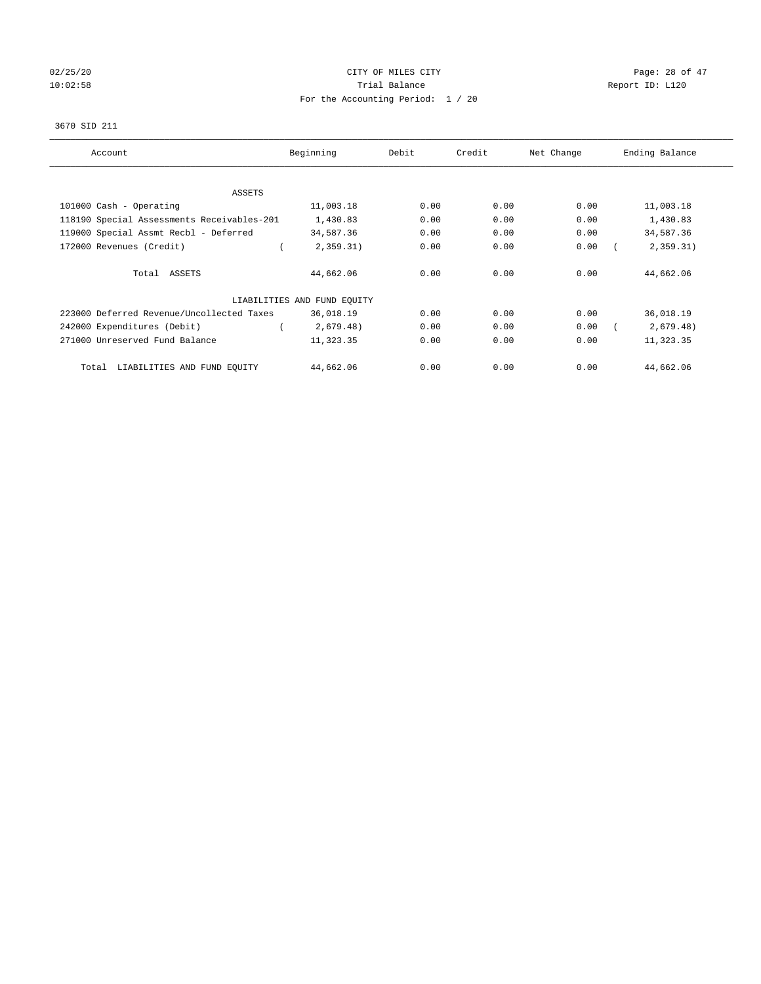# $02/25/20$  Page: 28 of 47 10:02:58 **Trial Balance Trial Balance Report ID:** L120 For the Accounting Period: 1 / 20

#### 3670 SID 211

| Account                                    | Beginning                   | Debit | Credit | Net Change | Ending Balance |
|--------------------------------------------|-----------------------------|-------|--------|------------|----------------|
| ASSETS                                     |                             |       |        |            |                |
| 101000 Cash - Operating                    | 11,003.18                   | 0.00  | 0.00   | 0.00       | 11,003.18      |
| 118190 Special Assessments Receivables-201 | 1,430.83                    | 0.00  | 0.00   | 0.00       | 1,430.83       |
| 119000 Special Assmt Recbl - Deferred      | 34,587.36                   | 0.00  | 0.00   | 0.00       | 34,587.36      |
| 172000 Revenues (Credit)                   | 2,359.31)                   | 0.00  | 0.00   | 0.00       | 2,359.31)      |
| Total ASSETS                               | 44,662.06                   | 0.00  | 0.00   | 0.00       | 44,662.06      |
|                                            | LIABILITIES AND FUND EQUITY |       |        |            |                |
| 223000 Deferred Revenue/Uncollected Taxes  | 36,018.19                   | 0.00  | 0.00   | 0.00       | 36,018.19      |
| 242000 Expenditures (Debit)                | 2,679.48)                   | 0.00  | 0.00   | 0.00       | 2,679.48)      |
| 271000 Unreserved Fund Balance             | 11,323.35                   | 0.00  | 0.00   | 0.00       | 11,323.35      |
| LIABILITIES AND FUND EQUITY<br>Total       | 44,662.06                   | 0.00  | 0.00   | 0.00       | 44,662.06      |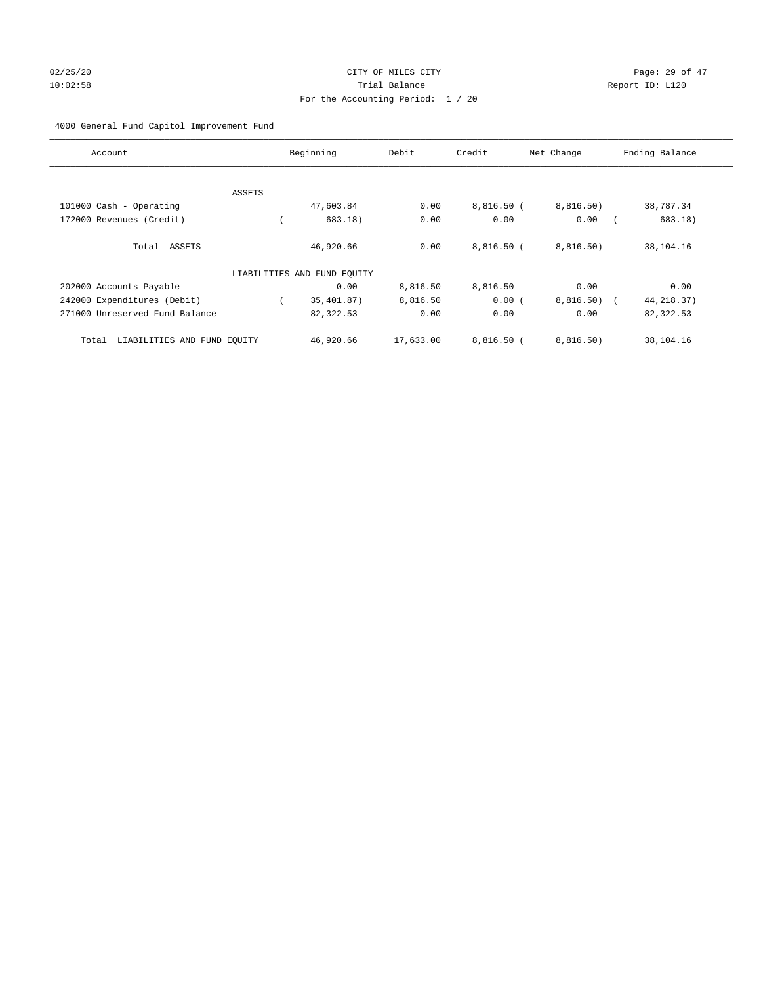# 02/25/20 Page: 29 of 47 10:02:58 Trial Balance Report ID: L120 For the Accounting Period: 1 / 20

# 4000 General Fund Capitol Improvement Fund

| Account                              |        | Beginning                   | Debit     | Credit       | Net Change  | Ending Balance |
|--------------------------------------|--------|-----------------------------|-----------|--------------|-------------|----------------|
|                                      |        |                             |           |              |             |                |
|                                      | ASSETS |                             |           |              |             |                |
| 101000 Cash - Operating              |        | 47,603.84                   | 0.00      | $8,816.50$ ( | 8,816.50)   | 38,787.34      |
| 172000 Revenues (Credit)             |        | 683.18)                     | 0.00      | 0.00         | 0.00        | 683.18)        |
| Total ASSETS                         |        | 46,920.66                   | 0.00      | 8.816.50(    | 8,816.50)   | 38,104.16      |
|                                      |        | LIABILITIES AND FUND EQUITY |           |              |             |                |
| 202000 Accounts Payable              |        | 0.00                        | 8,816.50  | 8,816.50     | 0.00        | 0.00           |
| 242000 Expenditures (Debit)          |        | 35,401.87)                  | 8,816.50  | 0.00(        | 8,816.50) ( | 44, 218.37)    |
| 271000 Unreserved Fund Balance       |        | 82,322.53                   | 0.00      | 0.00         | 0.00        | 82,322.53      |
| LIABILITIES AND FUND EQUITY<br>Total |        | 46,920.66                   | 17,633.00 | $8.816.50$ ( | 8,816.50)   | 38,104.16      |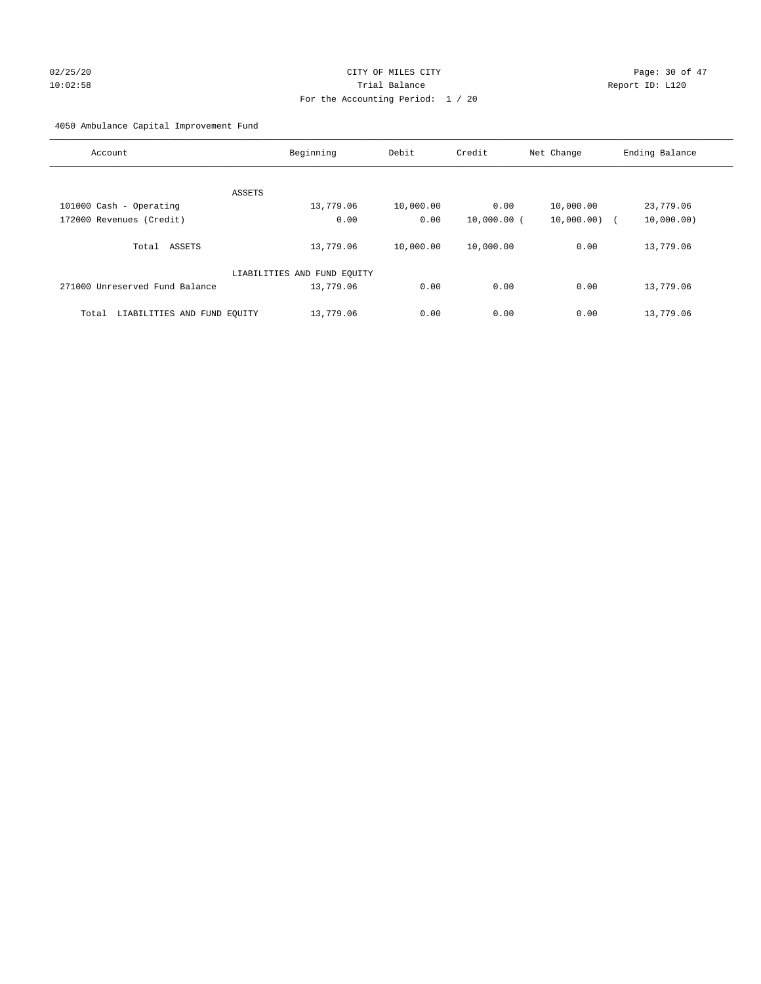# 02/25/20 Page: 30 of 47 10:02:58 Trial Balance Report ID: L120 For the Accounting Period: 1 / 20

4050 Ambulance Capital Improvement Fund

| Account                              | Beginning                   | Debit     | Credit        | Net Change | Ending Balance |
|--------------------------------------|-----------------------------|-----------|---------------|------------|----------------|
|                                      |                             |           |               |            |                |
| ASSETS                               |                             |           |               |            |                |
| 101000 Cash - Operating              | 13,779.06                   | 10,000.00 | 0.00          | 10,000.00  | 23,779.06      |
| 172000 Revenues (Credit)             | 0.00                        | 0.00      | $10,000.00$ ( | 10,000.00) | 10,000.00)     |
| Total ASSETS                         | 13,779.06                   | 10,000.00 | 10,000.00     | 0.00       | 13,779.06      |
|                                      | LIABILITIES AND FUND EQUITY |           |               |            |                |
| 271000 Unreserved Fund Balance       | 13,779.06                   | 0.00      | 0.00          | 0.00       | 13,779.06      |
| LIABILITIES AND FUND EQUITY<br>Total | 13,779.06                   | 0.00      | 0.00          | 0.00       | 13,779.06      |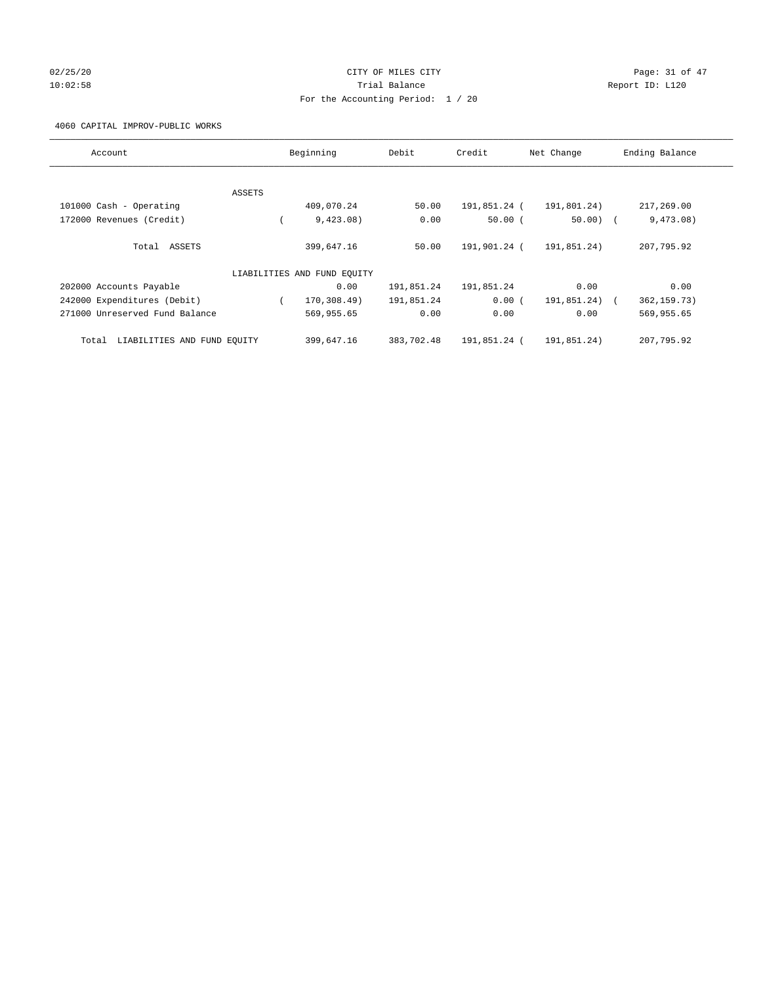# 02/25/20 Page: 31 of 47 10:02:58 Trial Balance Report ID: L120 For the Accounting Period: 1 / 20

4060 CAPITAL IMPROV-PUBLIC WORKS

| Account                              |        | Beginning                   | Debit      | Credit       | Net Change  | Ending Balance              |
|--------------------------------------|--------|-----------------------------|------------|--------------|-------------|-----------------------------|
|                                      |        |                             |            |              |             |                             |
|                                      | ASSETS |                             |            |              |             |                             |
| 101000 Cash - Operating              |        | 409,070.24                  | 50.00      | 191,851.24 ( | 191,801.24) | 217,269.00                  |
| 172000 Revenues (Credit)             |        | 9,423.08)                   | 0.00       | 50.00(       | $50.00)$ (  | 9,473.08)                   |
| Total ASSETS                         |        | 399,647.16                  | 50.00      | 191,901.24 ( | 191,851.24) | 207,795.92                  |
|                                      |        | LIABILITIES AND FUND EQUITY |            |              |             |                             |
| 202000 Accounts Payable              |        | 0.00                        | 191,851.24 | 191,851.24   | 0.00        | 0.00                        |
| 242000 Expenditures (Debit)          |        | 170,308.49)                 | 191,851.24 | 0.00(        | 191,851.24) | 362, 159. 73)<br>$\sqrt{2}$ |
| 271000 Unreserved Fund Balance       |        | 569,955.65                  | 0.00       | 0.00         | 0.00        | 569,955.65                  |
| LIABILITIES AND FUND EQUITY<br>Total |        | 399,647.16                  | 383,702.48 | 191,851.24 ( | 191,851.24) | 207,795.92                  |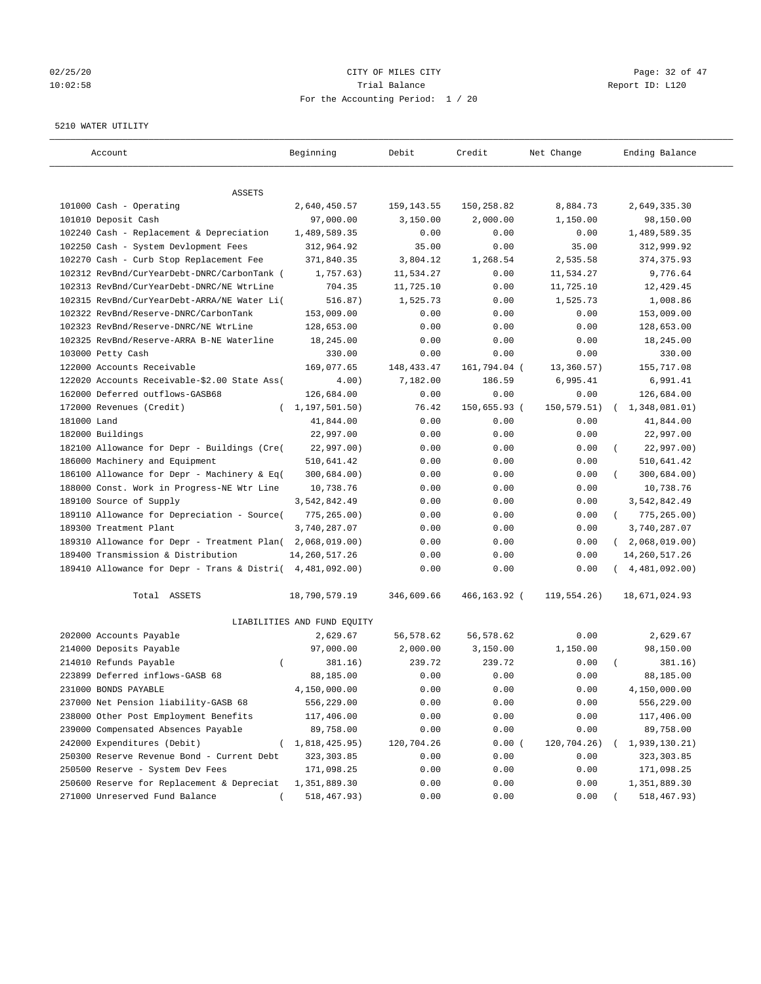# $02/25/20$  Page: 32 of 47 10:02:58 Trial Balance Report ID: L120 For the Accounting Period: 1 / 20

#### 5210 WATER UTILITY

| Account                                                   | Beginning                   | Debit        | Credit       | Net Change   | Ending Balance              |
|-----------------------------------------------------------|-----------------------------|--------------|--------------|--------------|-----------------------------|
| ASSETS                                                    |                             |              |              |              |                             |
| 101000 Cash - Operating                                   | 2,640,450.57                | 159, 143.55  | 150,258.82   | 8,884.73     | 2,649,335.30                |
| 101010 Deposit Cash                                       | 97,000.00                   | 3,150.00     | 2,000.00     | 1,150.00     | 98,150.00                   |
| 102240 Cash - Replacement & Depreciation                  | 1,489,589.35                | 0.00         | 0.00         | 0.00         | 1,489,589.35                |
| 102250 Cash - System Devlopment Fees                      | 312,964.92                  | 35.00        | 0.00         | 35.00        | 312,999.92                  |
| 102270 Cash - Curb Stop Replacement Fee                   | 371,840.35                  | 3,804.12     | 1,268.54     | 2,535.58     | 374, 375.93                 |
| 102312 RevBnd/CurYearDebt-DNRC/CarbonTank (               | 1,757.63)                   | 11,534.27    | 0.00         | 11,534.27    | 9,776.64                    |
| 102313 RevBnd/CurYearDebt-DNRC/NE WtrLine                 | 704.35                      | 11,725.10    | 0.00         | 11,725.10    | 12,429.45                   |
| 102315 RevBnd/CurYearDebt-ARRA/NE Water Li(               | 516.87)                     | 1,525.73     | 0.00         | 1,525.73     | 1,008.86                    |
| 102322 RevBnd/Reserve-DNRC/CarbonTank                     | 153,009.00                  | 0.00         | 0.00         | 0.00         | 153,009.00                  |
| 102323 RevBnd/Reserve-DNRC/NE WtrLine                     | 128,653.00                  | 0.00         | 0.00         | 0.00         | 128,653.00                  |
| 102325 RevBnd/Reserve-ARRA B-NE Waterline                 | 18,245.00                   | 0.00         | 0.00         | 0.00         | 18,245.00                   |
| 103000 Petty Cash                                         | 330.00                      | 0.00         | 0.00         | 0.00         | 330.00                      |
| 122000 Accounts Receivable                                | 169,077.65                  | 148, 433. 47 | 161,794.04 ( | 13,360.57)   | 155,717.08                  |
| 122020 Accounts Receivable-\$2.00 State Ass(              | 4.00)                       | 7,182.00     | 186.59       | 6,995.41     | 6,991.41                    |
| 162000 Deferred outflows-GASB68                           | 126,684.00                  | 0.00         | 0.00         | 0.00         | 126,684.00                  |
| 172000 Revenues (Credit)                                  | (1, 197, 501.50)            | 76.42        | 150,655.93 ( | 150, 579.51) | 1,348,081.01)               |
| 181000 Land                                               | 41,844.00                   | 0.00         | 0.00         | 0.00         | 41,844.00                   |
| 182000 Buildings                                          | 22,997.00                   | 0.00         | 0.00         | 0.00         | 22,997.00                   |
| 182100 Allowance for Depr - Buildings (Cre(               | 22,997.00)                  | 0.00         | 0.00         | 0.00         | 22,997.00)                  |
| 186000 Machinery and Equipment                            | 510,641.42                  | 0.00         | 0.00         | 0.00         | 510,641.42                  |
| 186100 Allowance for Depr - Machinery & Eq(               | 300,684.00)                 | 0.00         | 0.00         | 0.00         | 300,684.00)                 |
| 188000 Const. Work in Progress-NE Wtr Line                | 10,738.76                   | 0.00         | 0.00         | 0.00         | 10,738.76                   |
| 189100 Source of Supply                                   | 3,542,842.49                | 0.00         | 0.00         | 0.00         | 3,542,842.49                |
| 189110 Allowance for Depreciation - Source(               | 775,265.00)                 | 0.00         | 0.00         | 0.00         | $\left($<br>775,265.00)     |
| 189300 Treatment Plant                                    | 3,740,287.07                | 0.00         | 0.00         | 0.00         | 3,740,287.07                |
| 189310 Allowance for Depr - Treatment Plan(               | 2,068,019.00)               | 0.00         | 0.00         | 0.00         | 2,068,019.00)<br>$\sqrt{2}$ |
| 189400 Transmission & Distribution                        | 14, 260, 517.26             |              |              |              |                             |
|                                                           |                             | 0.00         | 0.00         | 0.00         | 14, 260, 517. 26            |
| 189410 Allowance for Depr - Trans & Distri( 4,481,092.00) |                             | 0.00         | 0.00         | 0.00         | 4,481,092.00)               |
| Total ASSETS                                              | 18,790,579.19               | 346,609.66   | 466,163.92 ( | 119, 554.26) | 18,671,024.93               |
|                                                           | LIABILITIES AND FUND EQUITY |              |              |              |                             |
| 202000 Accounts Payable                                   | 2,629.67                    | 56,578.62    | 56,578.62    | 0.00         | 2,629.67                    |
| 214000 Deposits Payable                                   | 97,000.00                   | 2,000.00     | 3,150.00     | 1,150.00     | 98,150.00                   |
| 214010 Refunds Payable<br>$\left($                        | 381.16)                     | 239.72       | 239.72       | 0.00         | 381.16)                     |
| 223899 Deferred inflows-GASB 68                           | 88,185.00                   | 0.00         | 0.00         | 0.00         | 88,185.00                   |
| 231000 BONDS PAYABLE                                      | 4,150,000.00                | 0.00         | 0.00         | 0.00         | 4,150,000.00                |
| 237000 Net Pension liability-GASB 68                      | 556,229.00                  | 0.00         | 0.00         | 0.00         | 556,229.00                  |
| 238000 Other Post Employment Benefits                     | 117,406.00                  | 0.00         | 0.00         | 0.00         | 117,406.00                  |
| 239000 Compensated Absences Payable                       | 89,758.00                   | 0.00         | 0.00         | 0.00         | 89,758.00                   |
| 242000 Expenditures (Debit)                               | 1,818,425.95)               | 120,704.26   | 0.00(        | 120,704.26)  | 1,939,130.21)               |
| 250300 Reserve Revenue Bond - Current Debt                | 323, 303.85                 | 0.00         | 0.00         | 0.00         | 323, 303.85                 |
| 250500 Reserve - System Dev Fees                          | 171,098.25                  | 0.00         | 0.00         | 0.00         | 171,098.25                  |
| 250600 Reserve for Replacement & Depreciat                | 1,351,889.30                | 0.00         | 0.00         | 0.00         | 1,351,889.30                |
| 271000 Unreserved Fund Balance                            | 518,467.93)                 | 0.00         | 0.00         | 0.00         | 518,467.93)                 |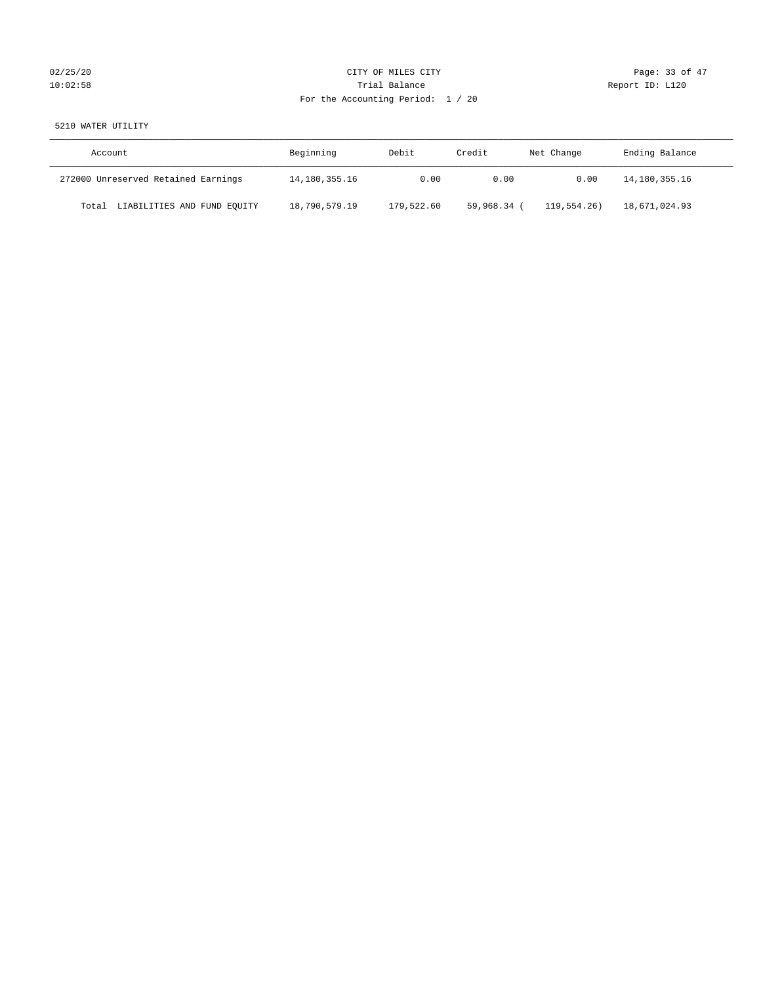# 02/25/20 Page: 33 of 47 10:02:58 Trial Balance Report ID: L120 For the Accounting Period: 1 / 20

# 5210 WATER UTILITY

| Account                              | Beginning     | Debit      | Credit    | Net Change  | Ending Balance |
|--------------------------------------|---------------|------------|-----------|-------------|----------------|
| 272000 Unreserved Retained Earnings  | 14,180,355.16 | 0.00       | 0.00      | 0.00        | 14,180,355.16  |
| LIABILITIES AND FUND EQUITY<br>Total | 18,790,579.19 | 179,522.60 | 59,968.34 | 119,554.26) | 18,671,024.93  |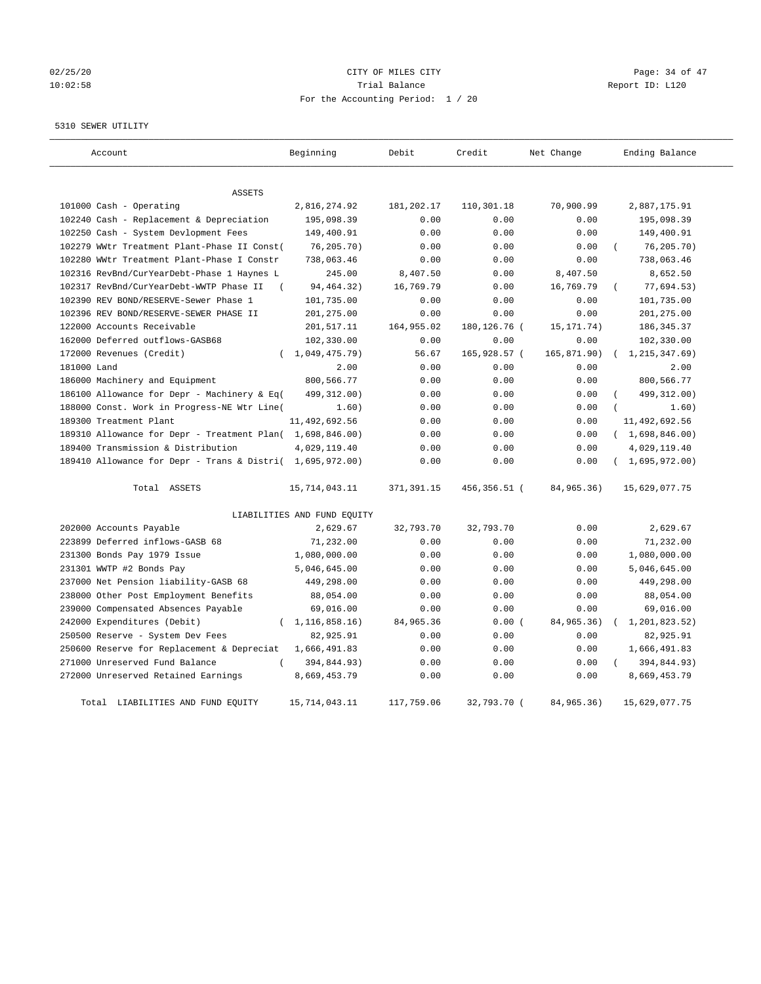# 02/25/20 Page: 34 of 47 10:02:58 **Trial Balance Trial Balance Report ID:** L120 For the Accounting Period: 1 / 20

5310 SEWER UTILITY

| Account                                                   | Beginning                   | Debit       | Credit       | Net Change   | Ending Balance  |
|-----------------------------------------------------------|-----------------------------|-------------|--------------|--------------|-----------------|
| ASSETS                                                    |                             |             |              |              |                 |
| 101000 Cash - Operating                                   | 2,816,274.92                | 181,202.17  | 110,301.18   | 70,900.99    | 2,887,175.91    |
| 102240 Cash - Replacement & Depreciation                  | 195,098.39                  | 0.00        | 0.00         | 0.00         | 195,098.39      |
| 102250 Cash - System Devlopment Fees                      | 149,400.91                  | 0.00        | 0.00         | 0.00         | 149,400.91      |
| 102279 WWtr Treatment Plant-Phase II Const(               | 76,205.70)                  | 0.00        | 0.00         | 0.00         | 76, 205.70)     |
| 102280 WWtr Treatment Plant-Phase I Constr                | 738,063.46                  | 0.00        | 0.00         | 0.00         | 738,063.46      |
| 102316 RevBnd/CurYearDebt-Phase 1 Haynes L                | 245.00                      | 8,407.50    | 0.00         | 8,407.50     | 8,652.50        |
| 102317 RevBnd/CurYearDebt-WWTP Phase II<br>$\left($       | 94, 464. 32)                | 16,769.79   | 0.00         | 16,769.79    | 77,694.53)      |
| 102390 REV BOND/RESERVE-Sewer Phase 1                     | 101,735.00                  | 0.00        | 0.00         | 0.00         | 101,735.00      |
| 102396 REV BOND/RESERVE-SEWER PHASE II                    | 201,275.00                  | 0.00        | 0.00         | 0.00         | 201,275.00      |
| 122000 Accounts Receivable                                | 201,517.11                  | 164,955.02  | 180,126.76 ( | 15, 171. 74) | 186, 345.37     |
| 162000 Deferred outflows-GASB68                           | 102,330.00                  | 0.00        | 0.00         | 0.00         | 102,330.00      |
| 172000 Revenues (Credit)                                  | (1, 049, 475, 79)           | 56.67       | 165,928.57 ( | 165, 871.90) | 1, 215, 347.69) |
| 181000 Land                                               | 2.00                        | 0.00        | 0.00         | 0.00         | 2.00            |
| 186000 Machinery and Equipment                            | 800,566.77                  | 0.00        | 0.00         | 0.00         | 800,566.77      |
| 186100 Allowance for Depr - Machinery & Eq(               | 499, 312.00)                | 0.00        | 0.00         | 0.00         | 499, 312.00)    |
| 188000 Const. Work in Progress-NE Wtr Line(               | 1.60)                       | 0.00        | 0.00         | 0.00         | 1.60)           |
| 189300 Treatment Plant                                    | 11,492,692.56               | 0.00        | 0.00         | 0.00         | 11,492,692.56   |
| 189310 Allowance for Depr - Treatment Plan( 1,698,846.00) |                             | 0.00        | 0.00         | 0.00         | (1,698,846.00)  |
| 189400 Transmission & Distribution                        | 4,029,119.40                | 0.00        | 0.00         | 0.00         | 4,029,119.40    |
| 189410 Allowance for Depr - Trans & Distri( 1,695,972.00) |                             | 0.00        | 0.00         | 0.00         | (1,695,972.00)  |
| Total ASSETS                                              | 15,714,043.11               | 371,391.15  | 456,356.51 ( | 84,965.36)   | 15,629,077.75   |
|                                                           | LIABILITIES AND FUND EQUITY |             |              |              |                 |
| 202000 Accounts Payable                                   | 2,629.67                    | 32,793.70   | 32,793.70    | 0.00         | 2,629.67        |
| 223899 Deferred inflows-GASB 68                           | 71,232.00                   | 0.00        | 0.00         | 0.00         | 71,232.00       |
| 231300 Bonds Pay 1979 Issue                               | 1,080,000.00                | 0.00        | 0.00         | 0.00         | 1,080,000.00    |
| 231301 WWTP #2 Bonds Pay                                  | 5,046,645.00                | 0.00        | 0.00         | 0.00         | 5,046,645.00    |
| 237000 Net Pension liability-GASB 68                      | 449,298.00                  | 0.00        | 0.00         | 0.00         | 449,298.00      |
| 238000 Other Post Employment Benefits                     | 88,054.00                   | 0.00        | 0.00         | 0.00         | 88,054.00       |
| 239000 Compensated Absences Payable                       | 69,016.00                   | 0.00        | 0.00         | 0.00         | 69,016.00       |
| 242000 Expenditures (Debit)                               | 1, 116, 858. 16)            | 84, 965. 36 | 0.00(        | 84,965.36)   | 1,201,823.52)   |
| 250500 Reserve - System Dev Fees                          | 82,925.91                   | 0.00        | 0.00         | 0.00         | 82,925.91       |
| 250600 Reserve for Replacement & Depreciat                | 1,666,491.83                | 0.00        | 0.00         | 0.00         | 1,666,491.83    |
| 271000 Unreserved Fund Balance<br>$\left($                | 394,844.93)                 | 0.00        | 0.00         | 0.00         | 394,844.93)     |
| 272000 Unreserved Retained Earnings                       | 8,669,453.79                | 0.00        | 0.00         | 0.00         | 8,669,453.79    |
| Total LIABILITIES AND FUND EQUITY                         | 15,714,043.11               | 117,759.06  | 32,793.70 (  | 84, 965. 36) | 15,629,077.75   |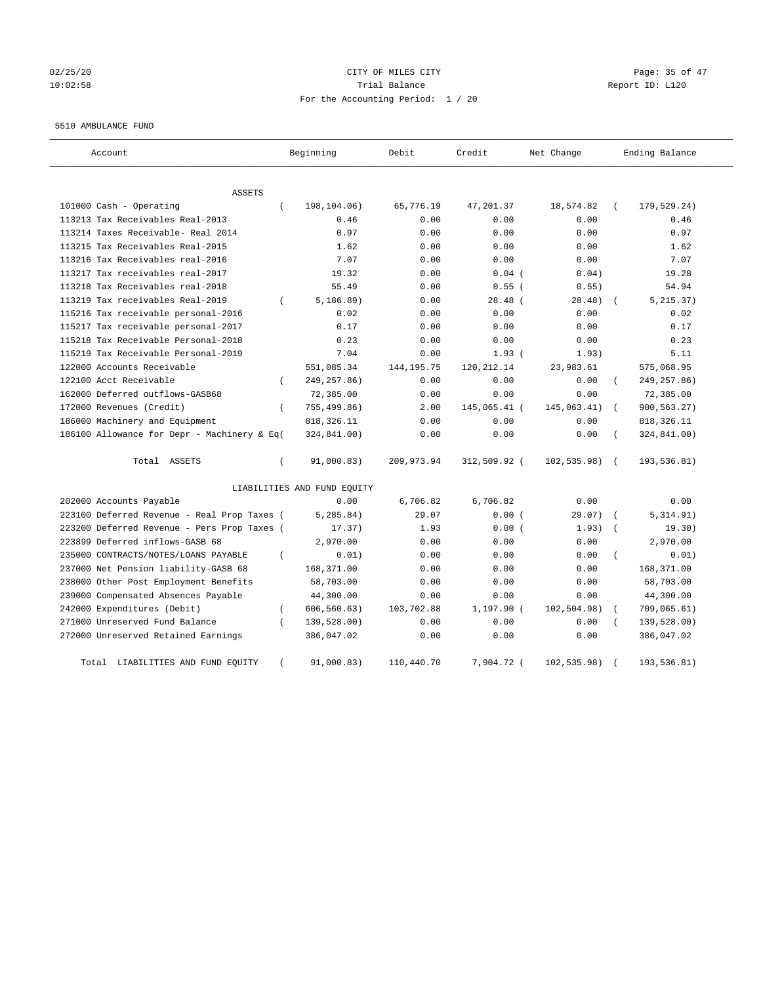# $02/25/20$  Page: 35 of 47 10:02:58 Trial Balance Report ID: L120 For the Accounting Period: 1 / 20

#### 5510 AMBULANCE FUND

| Account                                     |          | Beginning                   | Debit        | Credit       | Net Change   |          | Ending Balance |
|---------------------------------------------|----------|-----------------------------|--------------|--------------|--------------|----------|----------------|
| <b>ASSETS</b>                               |          |                             |              |              |              |          |                |
| 101000 Cash - Operating                     | $\left($ | 198,104.06)                 | 65,776.19    | 47,201.37    | 18,574.82    |          | 179,529.24)    |
| 113213 Tax Receivables Real-2013            |          | 0.46                        | 0.00         | 0.00         | 0.00         |          | 0.46           |
| 113214 Taxes Receivable- Real 2014          |          | 0.97                        | 0.00         | 0.00         | 0.00         |          | 0.97           |
| 113215 Tax Receivables Real-2015            |          | 1.62                        | 0.00         | 0.00         | 0.00         |          | 1.62           |
| 113216 Tax Receivables real-2016            |          | 7.07                        | 0.00         | 0.00         | 0.00         |          | 7.07           |
| 113217 Tax receivables real-2017            |          | 19.32                       | 0.00         | $0.04$ (     | 0.04)        |          | 19.28          |
| 113218 Tax Receivables real-2018            |          | 55.49                       | 0.00         | $0.55$ (     | 0.55)        |          | 54.94          |
| 113219 Tax receivables Real-2019            | $\left($ | 5, 186.89)                  | 0.00         | $28.48$ (    | 28.48)       |          | 5, 215.37)     |
| 115216 Tax receivable personal-2016         |          | 0.02                        | 0.00         | 0.00         | 0.00         |          | 0.02           |
| 115217 Tax receivable personal-2017         |          | 0.17                        | 0.00         | 0.00         | 0.00         |          | 0.17           |
| 115218 Tax Receivable Personal-2018         |          | 0.23                        | 0.00         | 0.00         | 0.00         |          | 0.23           |
| 115219 Tax Receivable Personal-2019         |          | 7.04                        | 0.00         | 1.93(        | 1.93)        |          | 5.11           |
| 122000 Accounts Receivable                  |          | 551,085.34                  | 144, 195. 75 | 120, 212. 14 | 23,983.61    |          | 575,068.95     |
| 122100 Acct Receivable                      | $\left($ | 249, 257.86)                | 0.00         | 0.00         | 0.00         | (        | 249, 257.86)   |
| 162000 Deferred outflows-GASB68             |          | 72,385.00                   | 0.00         | 0.00         | 0.00         |          | 72,385.00      |
| 172000 Revenues (Credit)                    | $\left($ | 755,499.86)                 | 2.00         | 145,065.41 ( | 145,063.41)  | $\left($ | 900,563.27)    |
| 186000 Machinery and Equipment              |          | 818, 326.11                 | 0.00         | 0.00         | 0.00         |          | 818, 326.11    |
| 186100 Allowance for Depr - Machinery & Eq( |          | 324,841.00)                 | 0.00         | 0.00         | 0.00         |          | 324,841.00)    |
| Total ASSETS                                | $\left($ | 91,000.83)                  | 209,973.94   | 312,509.92 ( | 102, 535.98) |          | 193,536.81)    |
|                                             |          | LIABILITIES AND FUND EQUITY |              |              |              |          |                |
| 202000 Accounts Payable                     |          | 0.00                        | 6,706.82     | 6,706.82     | 0.00         |          | 0.00           |
| 223100 Deferred Revenue - Real Prop Taxes ( |          | 5, 285.84)                  | 29.07        | 0.00(        | 29.07)       |          | 5,314.91)      |
| 223200 Deferred Revenue - Pers Prop Taxes ( |          | 17.37)                      | 1.93         | 0.00(        | 1.93)        |          | 19.30)         |
| 223899 Deferred inflows-GASB 68             |          | 2,970.00                    | 0.00         | 0.00         | 0.00         |          | 2,970.00       |
| 235000 CONTRACTS/NOTES/LOANS PAYABLE        | $\left($ | 0.01)                       | 0.00         | 0.00         | 0.00         |          | 0.01)          |
| 237000 Net Pension liability-GASB 68        |          | 168,371.00                  | 0.00         | 0.00         | 0.00         |          | 168,371.00     |
| 238000 Other Post Employment Benefits       |          | 58,703.00                   | 0.00         | 0.00         | 0.00         |          | 58,703.00      |
| 239000 Compensated Absences Payable         |          | 44,300.00                   | 0.00         | 0.00         | 0.00         |          | 44,300.00      |
| 242000 Expenditures (Debit)                 | $\left($ | 606, 560.63)                | 103,702.88   | $1,197.90$ ( | 102, 504.98) |          | 709,065.61)    |
| 271000 Unreserved Fund Balance              | $\left($ | 139,528.00)                 | 0.00         | 0.00         | 0.00         |          | 139,528.00)    |
| 272000 Unreserved Retained Earnings         |          | 386,047.02                  | 0.00         | 0.00         | 0.00         |          | 386,047.02     |
| LIABILITIES AND FUND EQUITY<br>Total        |          | 91,000.83)                  | 110,440.70   | 7,904.72 (   | 102, 535.98) |          | 193,536.81)    |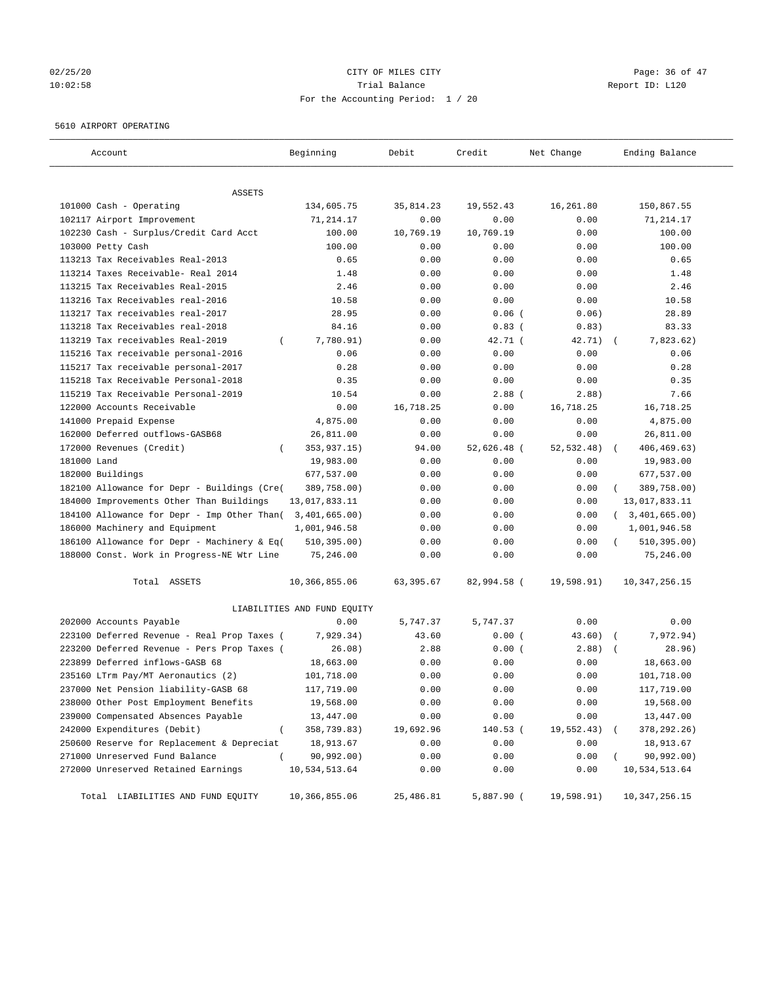# $02/25/20$  Page: 36 of 47 10:02:58 Trial Balance Report ID: L120 For the Accounting Period: 1 / 20

#### 5610 AIRPORT OPERATING

| Account                                         | Beginning                   | Debit      | Credit      | Net Change | Ending Balance            |
|-------------------------------------------------|-----------------------------|------------|-------------|------------|---------------------------|
| ASSETS                                          |                             |            |             |            |                           |
| 101000 Cash - Operating                         | 134,605.75                  | 35,814.23  | 19,552.43   | 16,261.80  | 150,867.55                |
| 102117 Airport Improvement                      | 71,214.17                   | 0.00       | 0.00        | 0.00       | 71,214.17                 |
| 102230 Cash - Surplus/Credit Card Acct          | 100.00                      | 10,769.19  | 10,769.19   | 0.00       | 100.00                    |
| 103000 Petty Cash                               | 100.00                      | 0.00       | 0.00        | 0.00       | 100.00                    |
| 113213 Tax Receivables Real-2013                | 0.65                        | 0.00       | 0.00        | 0.00       | 0.65                      |
| 113214 Taxes Receivable- Real 2014              | 1.48                        | 0.00       | 0.00        | 0.00       | 1.48                      |
| 113215 Tax Receivables Real-2015                | 2.46                        | 0.00       | 0.00        | 0.00       | 2.46                      |
| 113216 Tax Receivables real-2016                | 10.58                       | 0.00       | 0.00        | 0.00       | 10.58                     |
| 113217 Tax receivables real-2017                | 28.95                       | 0.00       | $0.06$ (    | 0.06)      | 28.89                     |
| 113218 Tax Receivables real-2018                | 84.16                       | 0.00       | $0.83$ (    | 0.83)      | 83.33                     |
| 113219 Tax receivables Real-2019<br>$\left($    | 7,780.91)                   | 0.00       | 42.71 (     | 42.71)     | 7,823.62)                 |
| 115216 Tax receivable personal-2016             | 0.06                        | 0.00       | 0.00        | 0.00       | 0.06                      |
| 115217 Tax receivable personal-2017             | 0.28                        | 0.00       | 0.00        | 0.00       | 0.28                      |
| 115218 Tax Receivable Personal-2018             | 0.35                        | 0.00       | 0.00        | 0.00       | 0.35                      |
| 115219 Tax Receivable Personal-2019             | 10.54                       | 0.00       | $2.88$ (    | 2.88)      | 7.66                      |
| 122000 Accounts Receivable                      | 0.00                        | 16,718.25  | 0.00        | 16,718.25  | 16,718.25                 |
| 141000 Prepaid Expense                          | 4,875.00                    | 0.00       | 0.00        | 0.00       | 4,875.00                  |
| 162000 Deferred outflows-GASB68                 | 26,811.00                   | 0.00       | 0.00        | 0.00       | 26,811.00                 |
| 172000 Revenues (Credit)<br>$\left($            | 353,937.15)                 | 94.00      | 52,626.48 ( | 52,532.48) | 406,469.63)               |
| 181000 Land                                     | 19,983.00                   | 0.00       | 0.00        | 0.00       | 19,983.00                 |
| 182000 Buildings                                | 677,537.00                  | 0.00       | 0.00        | 0.00       | 677,537.00                |
| 182100 Allowance for Depr - Buildings (Cre(     | 389,758.00)                 | 0.00       | 0.00        | 0.00       | 389,758.00)               |
| 184000 Improvements Other Than Buildings        | 13,017,833.11               | 0.00       | 0.00        | 0.00       | 13,017,833.11             |
| 184100 Allowance for Depr - Imp Other Than(     | 3,401,665.00)               | 0.00       | 0.00        | 0.00       | 3,401,665.00)<br>$\left($ |
| 186000 Machinery and Equipment                  | 1,001,946.58                | 0.00       | 0.00        | 0.00       | 1,001,946.58              |
| 186100 Allowance for Depr - Machinery & Eq(     | 510, 395.00)                | 0.00       | 0.00        | 0.00       | 510, 395.00)<br>$\left($  |
| 188000 Const. Work in Progress-NE Wtr Line      | 75,246.00                   | 0.00       | 0.00        | 0.00       | 75,246.00                 |
| Total ASSETS                                    | 10,366,855.06               | 63, 395.67 | 82,994.58 ( | 19,598.91) | 10, 347, 256. 15          |
|                                                 | LIABILITIES AND FUND EQUITY |            |             |            |                           |
| 202000 Accounts Payable                         | 0.00                        | 5,747.37   | 5,747.37    | 0.00       | 0.00                      |
| 223100 Deferred Revenue - Real Prop Taxes (     | 7,929.34)                   | 43.60      | 0.00(       | 43.60)     | 7,972.94)                 |
| 223200 Deferred Revenue - Pers Prop Taxes (     | 26.08)                      | 2.88       | 0.00(       | 2.88)      | 28.96)                    |
| 223899 Deferred inflows-GASB 68                 | 18,663.00                   | 0.00       | 0.00        | 0.00       | 18,663.00                 |
| 235160 LTrm Pay/MT Aeronautics (2)              | 101,718.00                  | 0.00       | 0.00        | 0.00       | 101,718.00                |
| 237000 Net Pension liability-GASB 68            | 117,719.00                  | 0.00       | 0.00        | 0.00       | 117,719.00                |
| 238000 Other Post Employment Benefits           | 19,568.00                   | 0.00       | 0.00        | 0.00       | 19,568.00                 |
| 239000 Compensated Absences Payable             | 13,447.00                   | 0.00       | 0.00        | 0.00       | 13,447.00                 |
| 242000 Expenditures (Debit)<br>$\overline{(\ }$ | 358,739.83)                 | 19,692.96  | 140.53 (    | 19,552.43) | 378, 292. 26)             |
| 250600 Reserve for Replacement & Depreciat      | 18,913.67                   | 0.00       | 0.00        | 0.00       | 18,913.67                 |
| 271000 Unreserved Fund Balance<br>$\left($      | 90,992.00)                  | 0.00       | 0.00        | 0.00       | 90,992.00)                |
| 272000 Unreserved Retained Earnings             | 10,534,513.64               | 0.00       | 0.00        | 0.00       | 10,534,513.64             |
| Total LIABILITIES AND FUND EQUITY               | 10,366,855.06               | 25,486.81  | 5,887.90 (  | 19,598.91) | 10, 347, 256. 15          |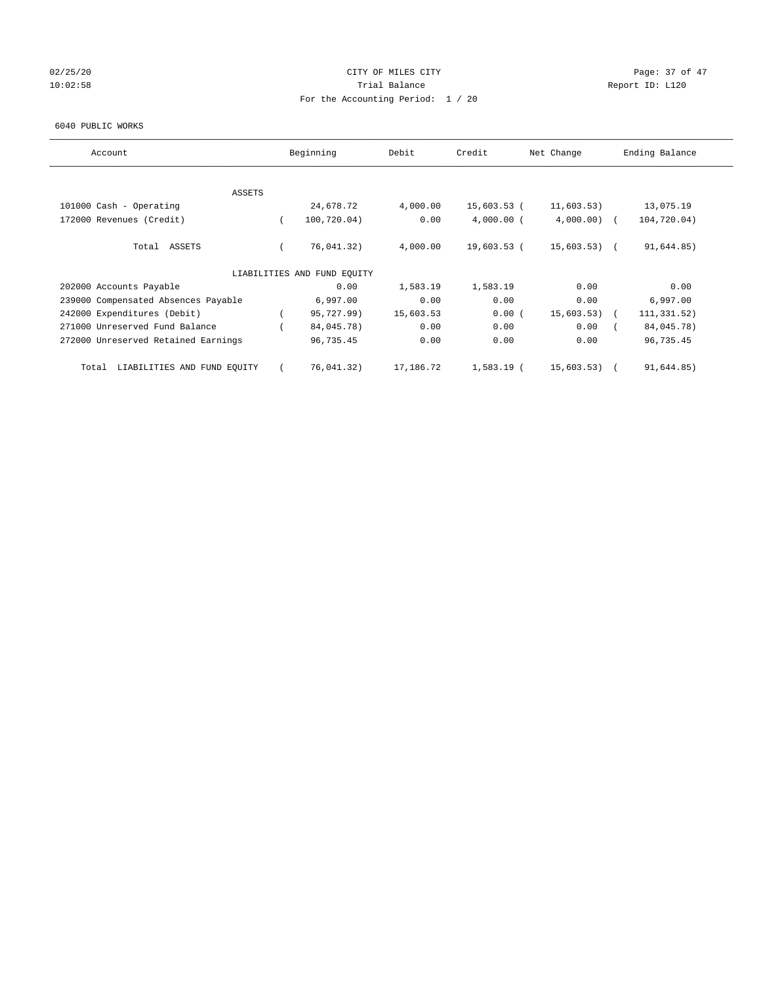# 02/25/20 Page: 37 of 47 10:02:58 **Trial Balance Trial Balance Report ID:** L120 For the Accounting Period: 1 / 20

#### 6040 PUBLIC WORKS

| Account                              | Beginning                   | Debit     | Credit       | Net Change     | Ending Balance |  |
|--------------------------------------|-----------------------------|-----------|--------------|----------------|----------------|--|
| <b>ASSETS</b>                        |                             |           |              |                |                |  |
| 101000 Cash - Operating              | 24,678.72                   | 4,000.00  | 15,603.53 (  | 11,603.53)     | 13,075.19      |  |
| 172000 Revenues (Credit)             | 100,720.04)                 | 0.00      | $4,000.00$ ( | $4,000.00)$ (  | 104,720.04)    |  |
|                                      |                             |           |              |                |                |  |
| Total ASSETS                         | 76,041.32)                  | 4,000.00  | 19,603.53 (  | $15,603.53)$ ( | 91,644.85)     |  |
|                                      | LIABILITIES AND FUND EQUITY |           |              |                |                |  |
| 202000 Accounts Payable              | 0.00                        | 1,583.19  | 1,583.19     | 0.00           | 0.00           |  |
| 239000 Compensated Absences Payable  | 6,997.00                    | 0.00      | 0.00         | 0.00           | 6,997.00       |  |
| 242000 Expenditures (Debit)          | 95,727.99)                  | 15,603.53 | 0.00(        | 15,603.53)     | 111,331.52)    |  |
| 271000 Unreserved Fund Balance       | 84,045.78)                  | 0.00      | 0.00         | 0.00           | 84,045.78)     |  |
| 272000 Unreserved Retained Earnings  | 96,735.45                   | 0.00      | 0.00         | 0.00           | 96,735.45      |  |
| LIABILITIES AND FUND EQUITY<br>Total | 76,041.32)                  | 17,186.72 | 1,583.19 (   | 15,603.53)     | 91,644.85)     |  |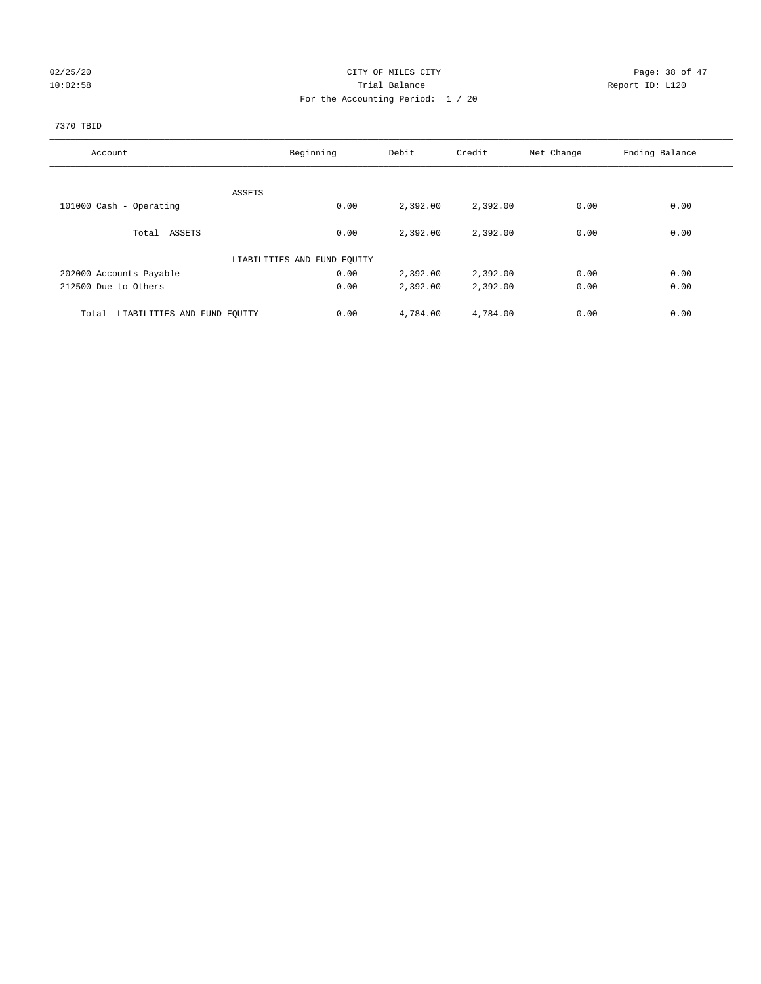# $02/25/20$  Page: 38 of 47 10:02:58 Trial Balance Report ID: L120 For the Accounting Period: 1 / 20

#### 7370 TBID

| Account                              | Beginning                   | Debit    | Credit   | Net Change | Ending Balance |
|--------------------------------------|-----------------------------|----------|----------|------------|----------------|
|                                      |                             |          |          |            |                |
|                                      | ASSETS                      |          |          |            |                |
| 101000 Cash - Operating              | 0.00                        | 2,392.00 | 2,392.00 | 0.00       | 0.00           |
| Total ASSETS                         | 0.00                        | 2,392.00 | 2,392.00 | 0.00       | 0.00           |
|                                      | LIABILITIES AND FUND EQUITY |          |          |            |                |
| 202000 Accounts Payable              | 0.00                        | 2,392.00 | 2,392.00 | 0.00       | 0.00           |
| 212500 Due to Others                 | 0.00                        | 2,392.00 | 2,392.00 | 0.00       | 0.00           |
| LIABILITIES AND FUND EQUITY<br>Total | 0.00                        | 4,784.00 | 4,784.00 | 0.00       | 0.00           |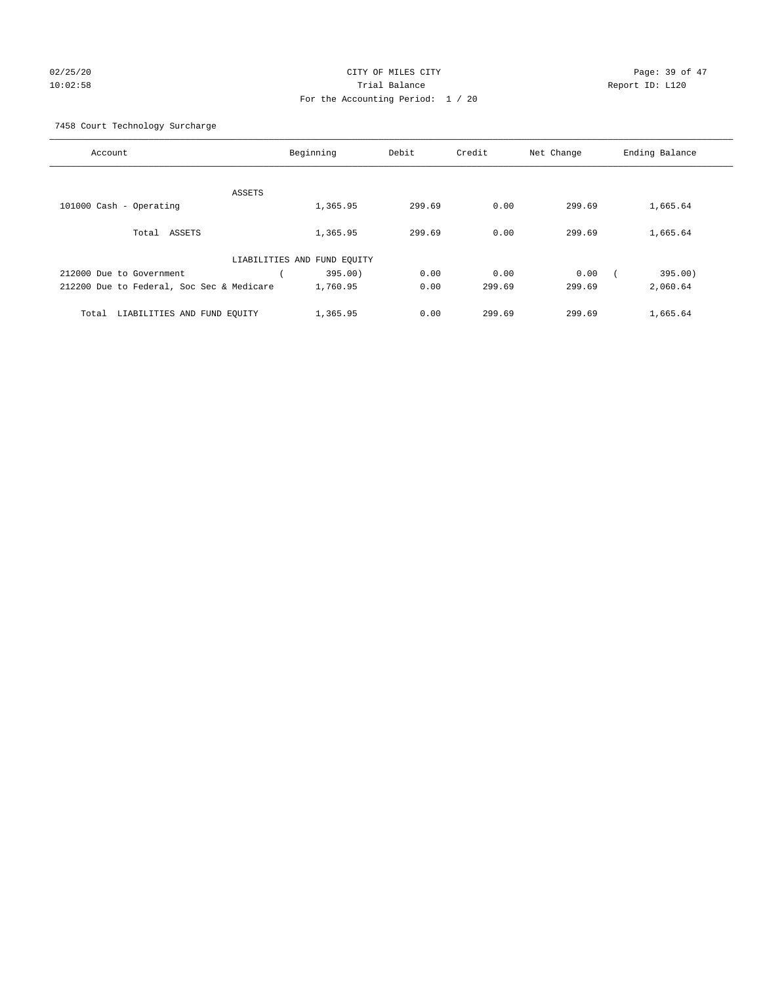# 02/25/20 **CITY OF MILES CITY CONSUMING THE PAGE:** 39 of 47 10:02:58 Trial Balance Report ID: L120 For the Accounting Period: 1 / 20

7458 Court Technology Surcharge

| Account                                   | Beginning                   | Debit  | Credit | Net Change | Ending Balance |
|-------------------------------------------|-----------------------------|--------|--------|------------|----------------|
|                                           | ASSETS                      |        |        |            |                |
| 101000 Cash - Operating                   | 1,365.95                    | 299.69 | 0.00   | 299.69     | 1,665.64       |
| Total ASSETS                              | 1,365.95                    | 299.69 | 0.00   | 299.69     | 1,665.64       |
|                                           | LIABILITIES AND FUND EQUITY |        |        |            |                |
| 212000 Due to Government                  | 395.00)                     | 0.00   | 0.00   | 0.00       | 395.00)        |
| 212200 Due to Federal, Soc Sec & Medicare | 1,760.95                    | 0.00   | 299.69 | 299.69     | 2,060.64       |
| LIABILITIES AND FUND EQUITY<br>Total      | 1,365.95                    | 0.00   | 299.69 | 299.69     | 1,665.64       |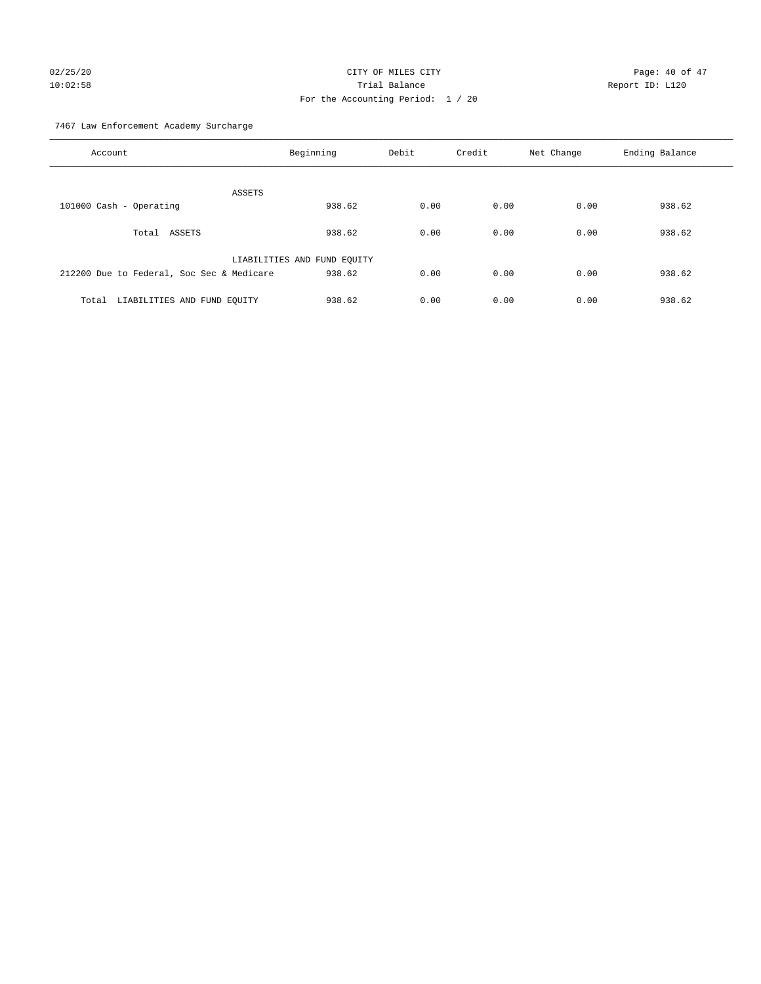# 02/25/20 Page: 40 of 47 10:02:58 Trial Balance Report ID: L120 For the Accounting Period: 1 / 20

7467 Law Enforcement Academy Surcharge

| Account                                   | Beginning                   | Debit | Credit | Net Change | Ending Balance |
|-------------------------------------------|-----------------------------|-------|--------|------------|----------------|
| ASSETS                                    |                             |       |        |            |                |
| 101000 Cash - Operating                   | 938.62                      | 0.00  | 0.00   | 0.00       | 938.62         |
| Total ASSETS                              | 938.62                      | 0.00  | 0.00   | 0.00       | 938.62         |
|                                           | LIABILITIES AND FUND EQUITY |       |        |            |                |
| 212200 Due to Federal, Soc Sec & Medicare | 938.62                      | 0.00  | 0.00   | 0.00       | 938.62         |
| LIABILITIES AND FUND EQUITY<br>Total      | 938.62                      | 0.00  | 0.00   | 0.00       | 938.62         |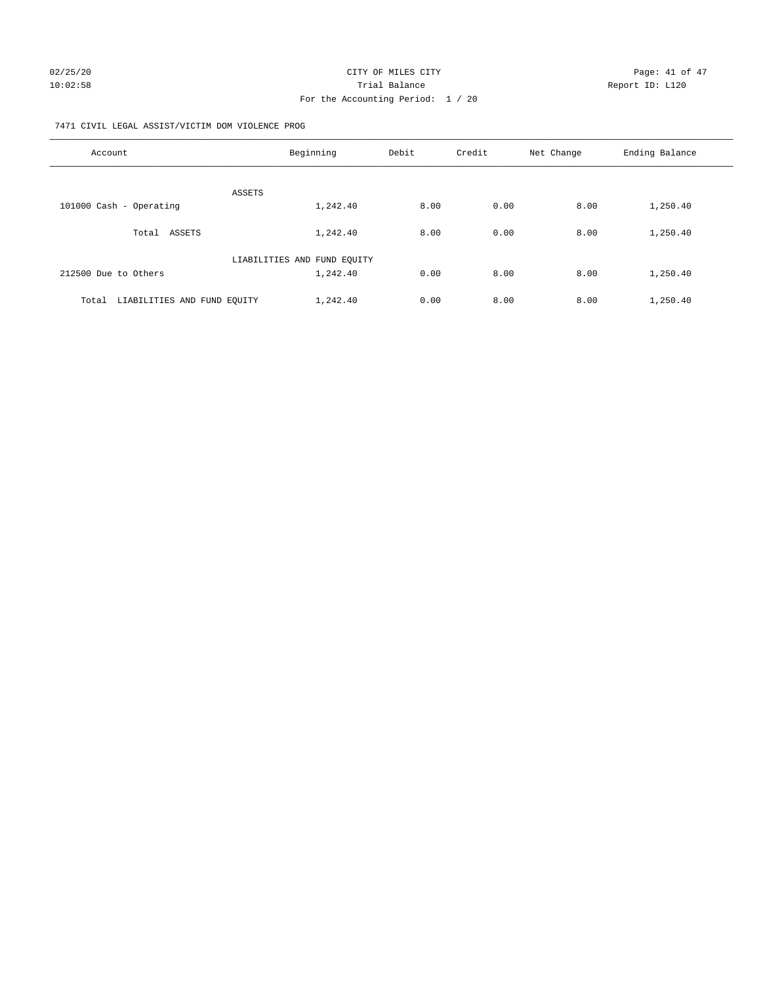#### 7471 CIVIL LEGAL ASSIST/VICTIM DOM VIOLENCE PROG

| Account                              | Beginning                   | Debit | Credit | Net Change | Ending Balance |
|--------------------------------------|-----------------------------|-------|--------|------------|----------------|
| <b>ASSETS</b>                        |                             |       |        |            |                |
| 101000 Cash - Operating              | 1,242.40                    | 8.00  | 0.00   | 8.00       | 1,250.40       |
| ASSETS<br>Total                      | 1,242.40                    | 8.00  | 0.00   | 8.00       | 1,250.40       |
|                                      | LIABILITIES AND FUND EQUITY |       |        |            |                |
| 212500 Due to Others                 | 1,242.40                    | 0.00  | 8.00   | 8.00       | 1,250.40       |
| LIABILITIES AND FUND EQUITY<br>Total | 1,242.40                    | 0.00  | 8.00   | 8.00       | 1,250.40       |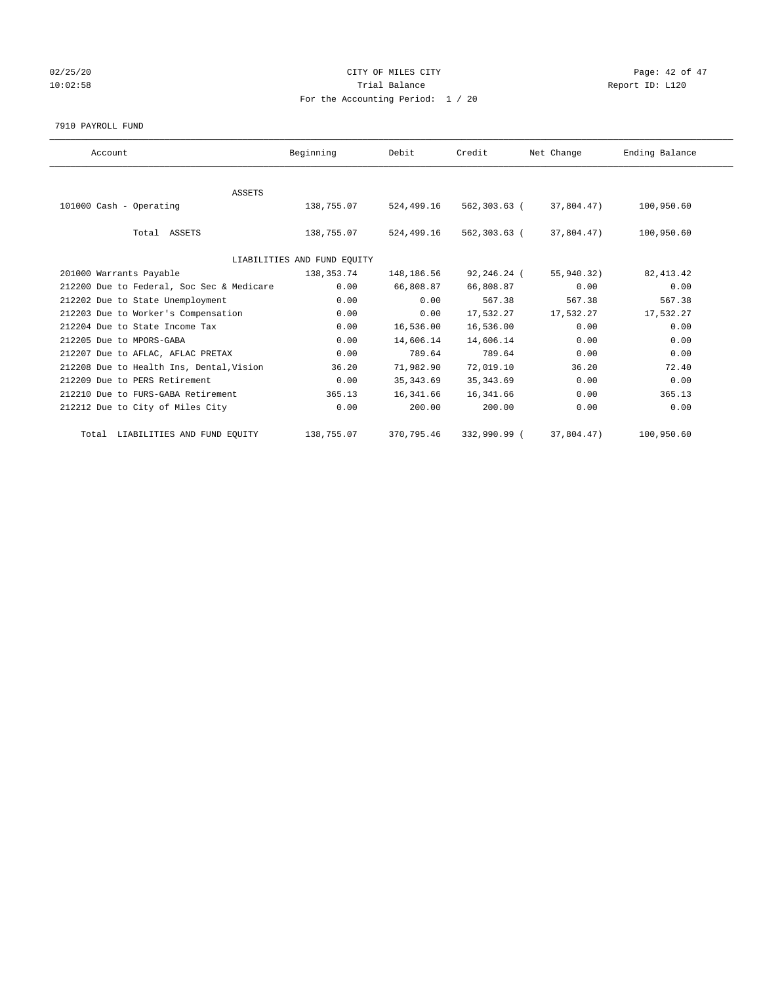# 02/25/20 Page: 42 of 47 10:02:58 **Trial Balance Trial Balance Report ID:** L120 For the Accounting Period: 1 / 20

#### 7910 PAYROLL FUND

| Account                                   | Beginning                   | Debit      | Credit       | Net Change | Ending Balance |  |
|-------------------------------------------|-----------------------------|------------|--------------|------------|----------------|--|
|                                           |                             |            |              |            |                |  |
| ASSETS                                    |                             |            |              |            |                |  |
| 101000 Cash - Operating                   | 138,755.07                  | 524,499.16 | 562,303.63 ( | 37,804.47) | 100,950.60     |  |
|                                           |                             |            |              |            |                |  |
| Total ASSETS                              | 138,755.07                  | 524,499.16 | 562,303.63 ( | 37,804.47) | 100,950.60     |  |
|                                           |                             |            |              |            |                |  |
|                                           | LIABILITIES AND FUND EQUITY |            |              |            |                |  |
| 201000 Warrants Payable                   | 138, 353. 74                | 148,186.56 | 92,246.24 (  | 55,940.32) | 82, 413.42     |  |
| 212200 Due to Federal, Soc Sec & Medicare | 0.00                        | 66,808.87  | 66,808.87    | 0.00       | 0.00           |  |
| 212202 Due to State Unemployment          | 0.00                        | 0.00       | 567.38       | 567.38     | 567.38         |  |
| 212203 Due to Worker's Compensation       | 0.00                        | 0.00       | 17,532.27    | 17,532.27  | 17,532.27      |  |
| 212204 Due to State Income Tax            | 0.00                        | 16,536.00  | 16,536.00    | 0.00       | 0.00           |  |
| 212205 Due to MPORS-GABA                  | 0.00                        | 14,606.14  | 14,606.14    | 0.00       | 0.00           |  |
| 212207 Due to AFLAC, AFLAC PRETAX         | 0.00                        | 789.64     | 789.64       | 0.00       | 0.00           |  |
| 212208 Due to Health Ins, Dental, Vision  | 36.20                       | 71,982.90  | 72,019.10    | 36.20      | 72.40          |  |
| 212209 Due to PERS Retirement             | 0.00                        | 35, 343.69 | 35, 343.69   | 0.00       | 0.00           |  |
| 212210 Due to FURS-GABA Retirement        | 365.13                      | 16,341.66  | 16,341.66    | 0.00       | 365.13         |  |
| 212212 Due to City of Miles City          | 0.00                        | 200.00     | 200.00       | 0.00       | 0.00           |  |
|                                           |                             |            |              |            |                |  |
| Total LIABILITIES AND FUND EQUITY         | 138,755.07                  | 370,795.46 | 332,990.99 ( | 37,804.47) | 100,950.60     |  |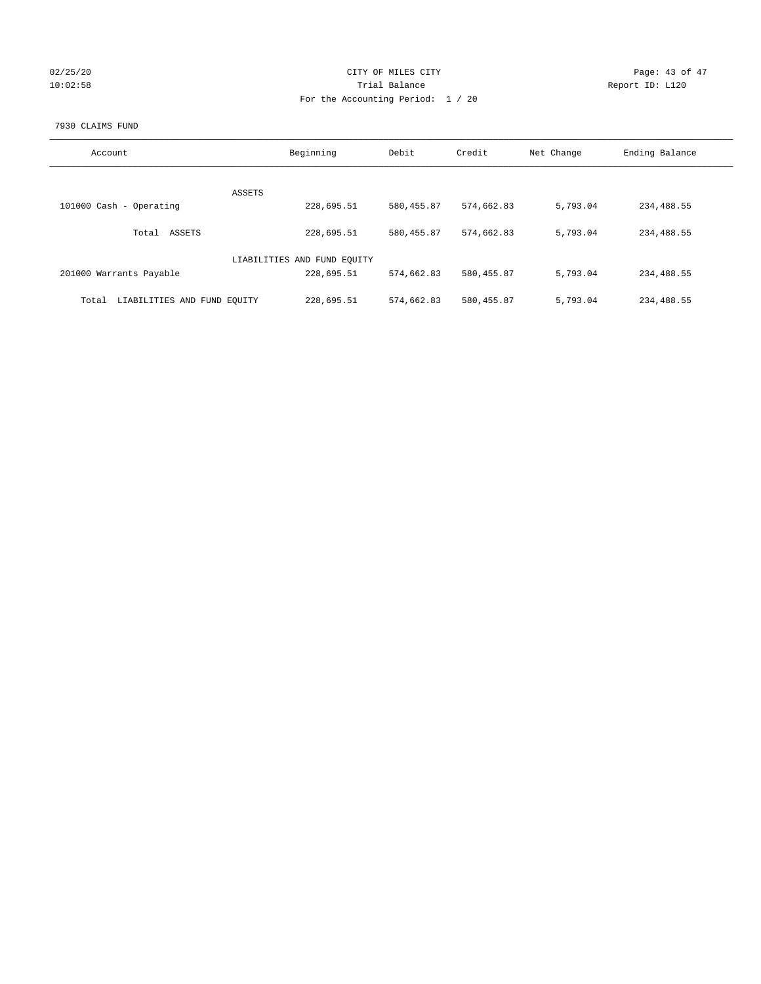| 02/25/20 |  |
|----------|--|
| 10:02:58 |  |

# CITY OF MILES CITY CONTROL CONTROL CONTROL CITY 10:02:58 Report ID: L120 For the Accounting Period: 1 / 20

#### 7930 CLAIMS FUND

| Account                              | Beginning                   | Debit       | Credit      | Net Change | Ending Balance |
|--------------------------------------|-----------------------------|-------------|-------------|------------|----------------|
| <b>ASSETS</b>                        |                             |             |             |            |                |
| 101000 Cash - Operating              | 228,695.51                  | 580, 455.87 | 574,662.83  | 5,793.04   | 234,488.55     |
| ASSETS<br>Total                      | 228,695.51                  | 580, 455.87 | 574,662.83  | 5,793.04   | 234,488.55     |
|                                      | LIABILITIES AND FUND EQUITY |             |             |            |                |
| 201000 Warrants Payable              | 228,695.51                  | 574,662.83  | 580,455.87  | 5,793.04   | 234,488.55     |
| LIABILITIES AND FUND EQUITY<br>Total | 228,695.51                  | 574,662.83  | 580, 455.87 | 5,793.04   | 234,488.55     |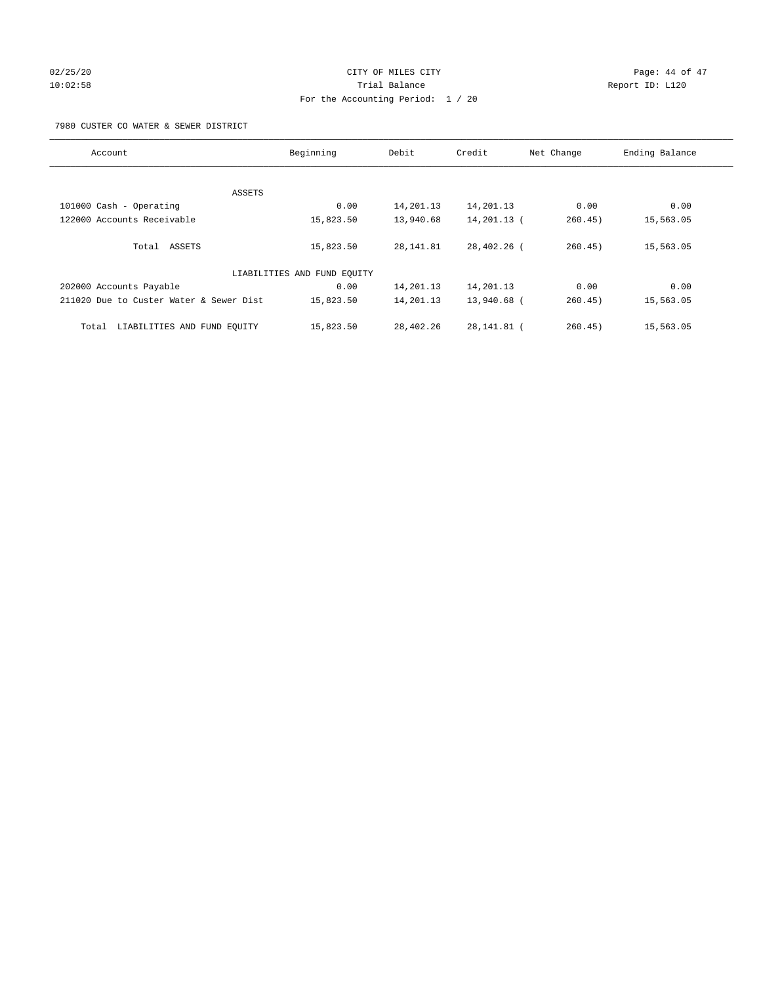# $02/25/20$  Page: 44 of 47 10:02:58 Trial Balance Report ID: L120 For the Accounting Period: 1 / 20

#### 7980 CUSTER CO WATER & SEWER DISTRICT

| Account                                 | Beginning                   | Debit     | Credit      | Net Change | Ending Balance |
|-----------------------------------------|-----------------------------|-----------|-------------|------------|----------------|
|                                         |                             |           |             |            |                |
| ASSETS                                  |                             |           |             |            |                |
| 101000 Cash - Operating                 | 0.00                        | 14,201.13 | 14,201.13   | 0.00       | 0.00           |
| 122000 Accounts Receivable              | 15,823.50                   | 13,940.68 | 14,201.13 ( | 260.45)    | 15,563.05      |
| Total ASSETS                            | 15,823.50                   | 28,141.81 | 28,402.26 ( | 260.45)    | 15,563.05      |
|                                         | LIABILITIES AND FUND EQUITY |           |             |            |                |
| 202000 Accounts Payable                 | 0.00                        | 14,201.13 | 14,201.13   | 0.00       | 0.00           |
| 211020 Due to Custer Water & Sewer Dist | 15,823.50                   | 14,201.13 | 13,940.68 ( | 260.45)    | 15,563.05      |
| LIABILITIES AND FUND EQUITY<br>Total    | 15,823.50                   | 28,402.26 | 28,141.81 ( | 260.45)    | 15,563.05      |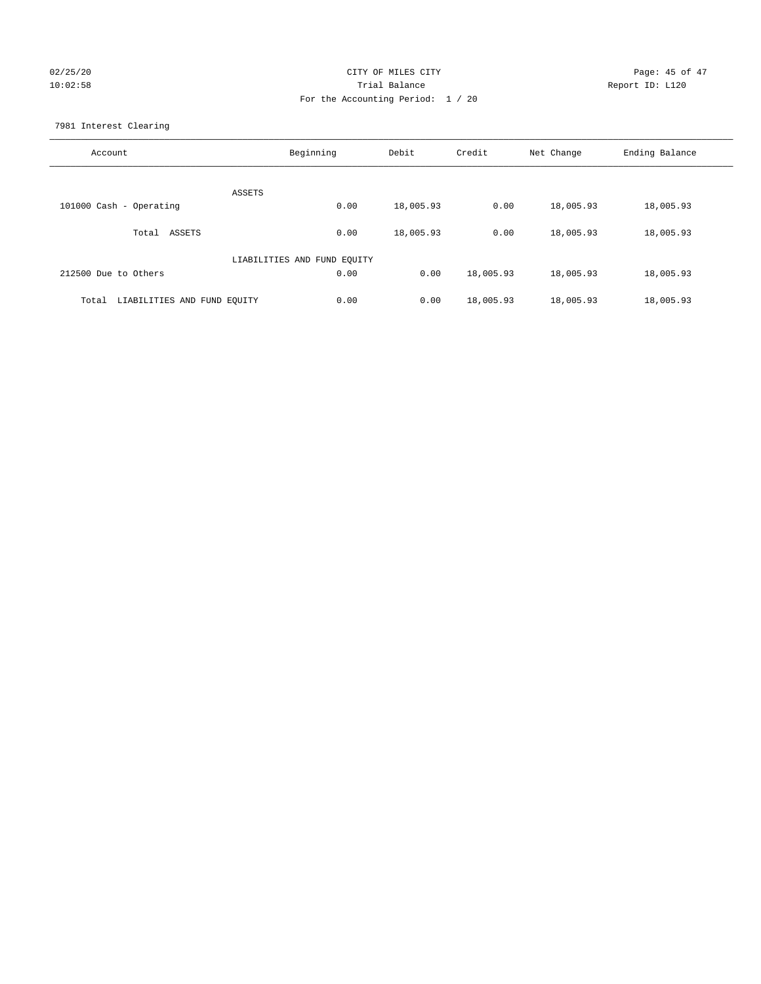# 02/25/20 Page: 45 of 47 10:02:58 Trial Balance Report ID: L120 For the Accounting Period: 1 / 20

7981 Interest Clearing

| Account                              | Beginning                   | Debit     | Credit    | Net Change | Ending Balance |
|--------------------------------------|-----------------------------|-----------|-----------|------------|----------------|
|                                      | ASSETS                      |           |           |            |                |
| 101000 Cash - Operating              | 0.00                        | 18,005.93 | 0.00      | 18,005.93  | 18,005.93      |
| Total ASSETS                         | 0.00                        | 18,005.93 | 0.00      | 18,005.93  | 18,005.93      |
|                                      | LIABILITIES AND FUND EQUITY |           |           |            |                |
| 212500 Due to Others                 | 0.00                        | 0.00      | 18,005.93 | 18,005.93  | 18,005.93      |
| LIABILITIES AND FUND EQUITY<br>Total | 0.00                        | 0.00      | 18,005.93 | 18,005.93  | 18,005.93      |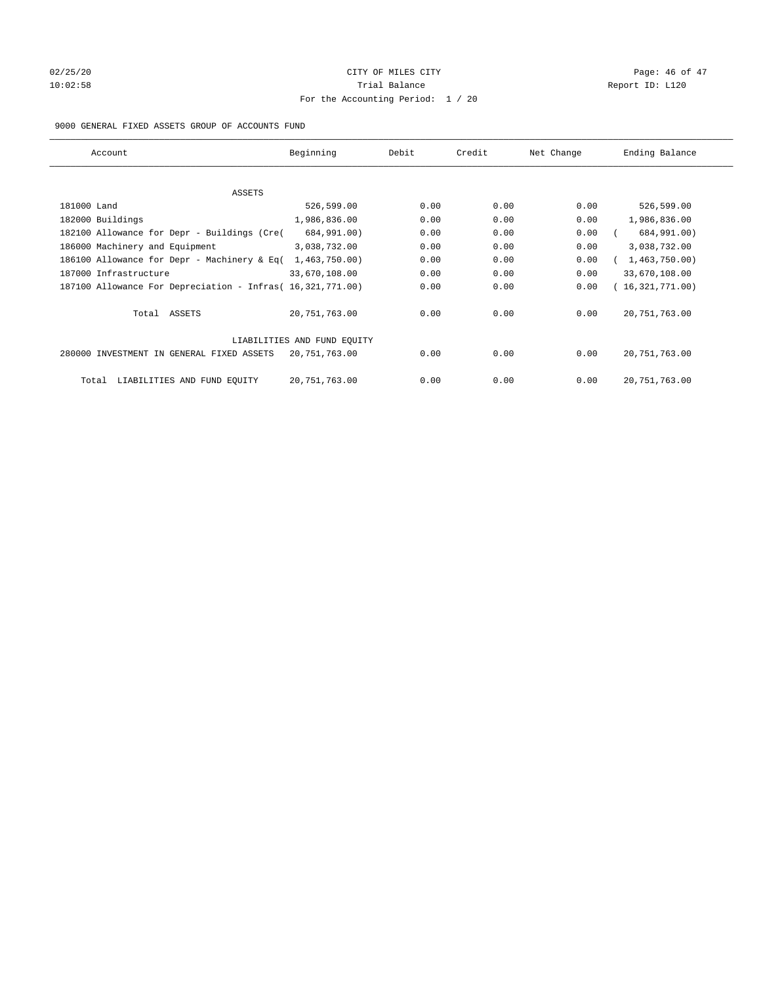# $02/25/20$  Page: 46 of 47 10:02:58 **Trial Balance Trial Balance Report ID:** L120 For the Accounting Period: 1 / 20

#### 9000 GENERAL FIXED ASSETS GROUP OF ACCOUNTS FUND

| Account                                                    | Beginning                   | Debit | Credit | Net Change | Ending Balance  |
|------------------------------------------------------------|-----------------------------|-------|--------|------------|-----------------|
| ASSETS                                                     |                             |       |        |            |                 |
| 181000 Land                                                | 526,599.00                  | 0.00  | 0.00   | 0.00       | 526,599.00      |
| 182000 Buildings                                           | 1,986,836.00                | 0.00  | 0.00   | 0.00       | 1,986,836.00    |
| 182100 Allowance for Depr - Buildings (Cre(                | 684,991.00)                 | 0.00  | 0.00   | 0.00       | 684,991.00)     |
| 186000 Machinery and Equipment                             | 3,038,732.00                | 0.00  | 0.00   | 0.00       | 3,038,732.00    |
| 186100 Allowance for Depr - Machinery & Eq(                | 1,463,750.00)               | 0.00  | 0.00   | 0.00       | 1,463,750.00)   |
| 187000 Infrastructure                                      | 33,670,108.00               | 0.00  | 0.00   | 0.00       | 33,670,108.00   |
| 187100 Allowance For Depreciation - Infras( 16,321,771.00) |                             | 0.00  | 0.00   | 0.00       | 16,321,771.00)  |
| Total ASSETS                                               | 20,751,763.00               | 0.00  | 0.00   | 0.00       | 20, 751, 763.00 |
|                                                            | LIABILITIES AND FUND EQUITY |       |        |            |                 |
| 280000 INVESTMENT IN GENERAL FIXED ASSETS                  | 20,751,763.00               | 0.00  | 0.00   | 0.00       | 20, 751, 763.00 |
| LIABILITIES AND FUND EQUITY<br>Total                       | 20, 751, 763.00             | 0.00  | 0.00   | 0.00       | 20, 751, 763.00 |